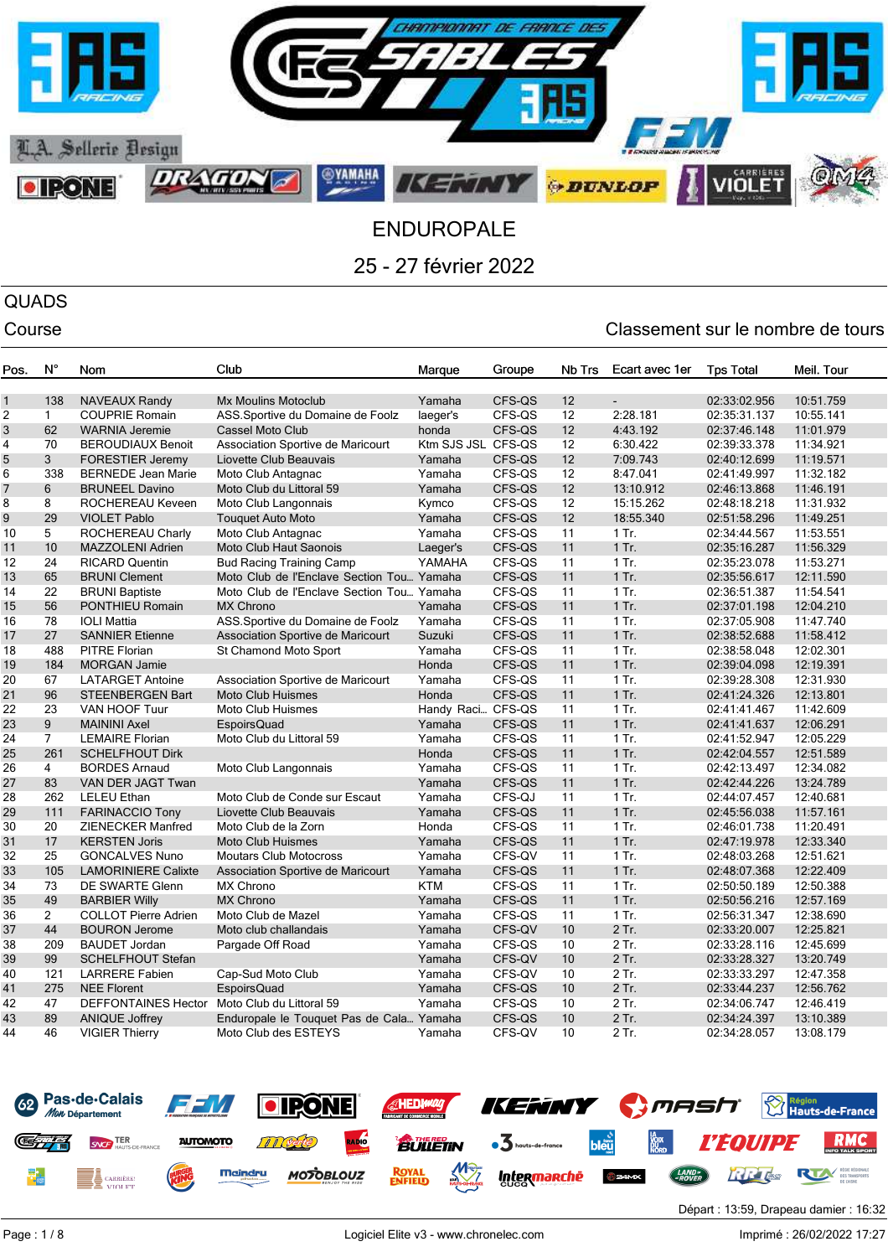

# QUADS

### Course Course Course Course Course Course Course Course Course Course Course Course Course Course Course Cours

| Pos.           | $N^{\circ}$    | Nom                         | Club                                      | Marque             | Groupe | Nb Trs | Ecart avec 1er | <b>Tps Total</b> | Meil. Tour |
|----------------|----------------|-----------------------------|-------------------------------------------|--------------------|--------|--------|----------------|------------------|------------|
|                |                |                             |                                           |                    |        |        |                |                  |            |
| $\mathbf{1}$   | 138            | <b>NAVEAUX Randy</b>        | <b>Mx Moulins Motoclub</b>                | Yamaha             | CFS-QS | 12     |                | 02:33:02.956     | 10:51.759  |
| $\overline{2}$ | $\overline{1}$ | <b>COUPRIE Romain</b>       | ASS.Sportive du Domaine de Foolz          | laeger's           | CFS-QS | 12     | 2:28.181       | 02:35:31.137     | 10:55.141  |
| 3              | 62             | <b>WARNIA Jeremie</b>       | Cassel Moto Club                          | honda              | CFS-QS | 12     | 4:43.192       | 02:37:46.148     | 11:01.979  |
| 4              | 70             | <b>BEROUDIAUX Benoit</b>    | Association Sportive de Maricourt         | Ktm SJS JSL CFS-QS |        | 12     | 6:30.422       | 02:39:33.378     | 11:34.921  |
| 5              | 3 <sup>1</sup> | FORESTIER Jeremy            | Liovette Club Beauvais                    | Yamaha             | CFS-QS | 12     | 7:09.743       | 02:40:12.699     | 11:19.571  |
| 6              | 338            | <b>BERNEDE Jean Marie</b>   | Moto Club Antagnac                        | Yamaha             | CFS-QS | 12     | 8:47.041       | 02:41:49.997     | 11:32.182  |
| 7              | 6              | <b>BRUNEEL Davino</b>       | Moto Club du Littoral 59                  | Yamaha             | CFS-QS | 12     | 13:10.912      | 02:46:13.868     | 11:46.191  |
| 8              | 8              | ROCHEREAU Keveen            | Moto Club Langonnais                      | Kymco              | CFS-QS | 12     | 15:15.262      | 02:48:18.218     | 11:31.932  |
| 9              | 29             | <b>VIOLET Pablo</b>         | <b>Touquet Auto Moto</b>                  | Yamaha             | CFS-QS | 12     | 18:55.340      | 02:51:58.296     | 11:49.251  |
| 10             | 5              | ROCHEREAU Charly            | Moto Club Antagnac                        | Yamaha             | CFS-QS | 11     | $1$ Tr.        | 02:34:44.567     | 11:53.551  |
| 11             | 10             | <b>MAZZOLENI Adrien</b>     | <b>Moto Club Haut Saonois</b>             | Laeger's           | CFS-QS | 11     | $1$ Tr.        | 02:35:16.287     | 11:56.329  |
| 12             | 24             | <b>RICARD Quentin</b>       | <b>Bud Racing Training Camp</b>           | YAMAHA             | CFS-QS | 11     | $1$ Tr.        | 02:35:23.078     | 11:53.271  |
| 13             | 65             | <b>BRUNI Clement</b>        | Moto Club de l'Enclave Section Tou Yamaha |                    | CFS-QS | 11     | $1$ Tr.        | 02:35:56.617     | 12:11.590  |
| 14             | 22             | <b>BRUNI Baptiste</b>       | Moto Club de l'Enclave Section Tou Yamaha |                    | CFS-QS | 11     | 1 Tr.          | 02:36:51.387     | 11:54.541  |
| 15             | 56             | PONTHIEU Romain             | <b>MX Chrono</b>                          | Yamaha             | CFS-QS | 11     | $1$ Tr.        | 02:37:01.198     | 12:04.210  |
| 16             | 78             | <b>IOLI Mattia</b>          | ASS.Sportive du Domaine de Foolz          | Yamaha             | CFS-QS | 11     | 1 Tr.          | 02:37:05.908     | 11:47.740  |
| 17             | 27             | <b>SANNIER Etienne</b>      | Association Sportive de Maricourt         | Suzuki             | CFS-QS | 11     | $1$ Tr.        | 02:38:52.688     | 11:58.412  |
| 18             | 488            | <b>PITRE Florian</b>        | St Chamond Moto Sport                     | Yamaha             | CFS-QS | 11     | $1$ Tr.        | 02:38:58.048     | 12:02.301  |
| 19             | 184            | <b>MORGAN Jamie</b>         |                                           | Honda              | CFS-QS | 11     | $1$ Tr.        | 02:39:04.098     | 12:19.391  |
| 20             | 67             | <b>LATARGET Antoine</b>     | Association Sportive de Maricourt         | Yamaha             | CFS-QS | 11     | $1$ Tr.        | 02:39:28.308     | 12:31.930  |
| 21             | 96             | <b>STEENBERGEN Bart</b>     | <b>Moto Club Huismes</b>                  | Honda              | CFS-QS | 11     | $1$ Tr.        | 02:41:24.326     | 12:13.801  |
| 22             | 23             | VAN HOOF Tuur               | Moto Club Huismes                         | Handy Raci CFS-QS  |        | 11     | $1$ Tr.        | 02:41:41.467     | 11:42.609  |
| 23             | $9\,$          | <b>MAININI Axel</b>         | <b>EspoirsQuad</b>                        | Yamaha             | CFS-QS | 11     | $1$ Tr.        | 02:41:41.637     | 12:06.291  |
| 24             | $\overline{7}$ | <b>LEMAIRE Florian</b>      | Moto Club du Littoral 59                  | Yamaha             | CFS-QS | 11     | 1 Tr.          | 02:41:52.947     | 12:05.229  |
| 25             | 261            | <b>SCHELFHOUT Dirk</b>      |                                           | Honda              | CFS-QS | 11     | $1$ Tr.        | 02:42:04.557     | 12:51.589  |
| 26             | $\overline{4}$ | <b>BORDES Arnaud</b>        | Moto Club Langonnais                      | Yamaha             | CFS-QS | 11     | 1 Tr.          | 02:42:13.497     | 12:34.082  |
| 27             | 83             | VAN DER JAGT Twan           |                                           | Yamaha             | CFS-QS | 11     | $1$ Tr.        | 02:42:44.226     | 13:24.789  |
| 28             | 262            | <b>LELEU Ethan</b>          | Moto Club de Conde sur Escaut             | Yamaha             | CFS-QJ | 11     | $1$ Tr.        | 02:44:07.457     | 12:40.681  |
| 29             | 111            | <b>FARINACCIO Tony</b>      | Liovette Club Beauvais                    | Yamaha             | CFS-QS | 11     | $1$ Tr.        | 02:45:56.038     | 11:57.161  |
| 30             | 20             | <b>ZIENECKER Manfred</b>    | Moto Club de la Zorn                      | Honda              | CFS-QS | 11     | $1$ Tr.        | 02:46:01.738     | 11:20.491  |
| 31             | 17             | <b>KERSTEN Joris</b>        | <b>Moto Club Huismes</b>                  | Yamaha             | CFS-QS | 11     | 1 Tr.          | 02:47:19.978     | 12:33.340  |
| 32             | 25             | <b>GONCALVES Nuno</b>       | <b>Moutars Club Motocross</b>             | Yamaha             | CFS-QV | 11     | 1 Tr.          | 02:48:03.268     | 12:51.621  |
| 33             | 105            | <b>LAMORINIERE Calixte</b>  | Association Sportive de Maricourt         | Yamaha             | CFS-QS | 11     | $1$ Tr.        | 02:48:07.368     | 12:22.409  |
| 34             | 73             | DE SWARTE Glenn             | <b>MX Chrono</b>                          | <b>KTM</b>         | CFS-QS | 11     | $1$ Tr.        | 02:50:50.189     | 12:50.388  |
| 35             | 49             | <b>BARBIER Willy</b>        | <b>MX Chrono</b>                          | Yamaha             | CFS-QS | 11     | 1 Tr.          | 02:50:56.216     | 12:57.169  |
| 36             | $\overline{2}$ | <b>COLLOT Pierre Adrien</b> | Moto Club de Mazel                        | Yamaha             | CFS-QS | 11     | $1$ Tr.        | 02:56:31.347     | 12:38.690  |
| 37             | 44             | <b>BOURON Jerome</b>        | Moto club challandais                     | Yamaha             | CFS-QV | 10     | 2 Tr.          | 02:33:20.007     | 12:25.821  |
| 38             | 209            | <b>BAUDET Jordan</b>        | Pargade Off Road                          | Yamaha             | CFS-QS | 10     | 2 Tr.          | 02:33:28.116     | 12:45.699  |
| 39             | 99             | <b>SCHELFHOUT Stefan</b>    |                                           | Yamaha             | CFS-QV | 10     | 2 Tr.          | 02:33:28.327     | 13:20.749  |
| 40             | 121            | <b>LARRERE Fabien</b>       | Cap-Sud Moto Club                         | Yamaha             | CFS-QV | 10     | 2 Tr.          | 02:33:33.297     | 12:47.358  |
| 41             | 275            | <b>NEE Florent</b>          | <b>EspoirsQuad</b>                        | Yamaha             | CFS-QS | 10     | 2 Tr.          | 02:33:44.237     | 12:56.762  |
| 42             | 47             | <b>DEFFONTAINES Hector</b>  | Moto Club du Littoral 59                  | Yamaha             | CFS-QS | 10     | 2 Tr.          | 02:34:06.747     | 12:46.419  |
| 43             | 89             | <b>ANIQUE Joffrey</b>       | Enduropale le Touquet Pas de Cala Yamaha  |                    | CFS-QS | 10     | 2 Tr.          | 02:34:24.397     | 13:10.389  |
| 44             | 46             | <b>VIGIER Thierry</b>       | Moto Club des ESTEYS                      | Yamaha             | CFS-QV | 10     | 2 Tr.          | 02:34:28.057     | 13:08.179  |

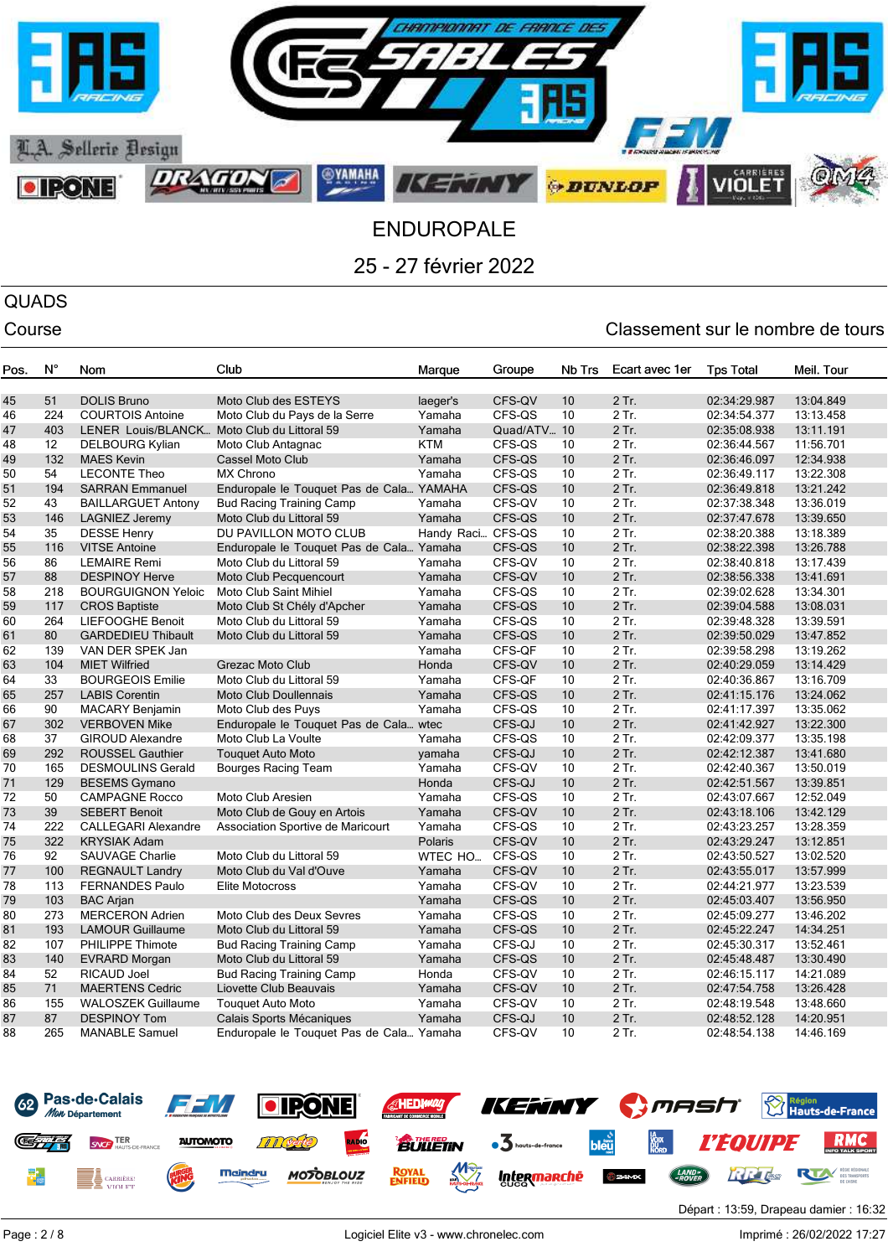

# QUADS

### Course Course Course Course Course Course Course Course Course Course Course Course Course Course Course Cours

| Pos. | $N^{\circ}$ | Nom                                         | Club                                     | Marque            | Groupe           | Nb Trs | Ecart avec 1er | <b>Tps Total</b> | Meil. Tour             |
|------|-------------|---------------------------------------------|------------------------------------------|-------------------|------------------|--------|----------------|------------------|------------------------|
| 45   | 51          | <b>DOLIS Bruno</b>                          | Moto Club des ESTEYS                     | laeger's          | CFS-QV           | 10     | 2 Tr.          | 02:34:29.987     | 13:04.849              |
| 46   | 224         | <b>COURTOIS Antoine</b>                     | Moto Club du Pays de la Serre            | Yamaha            | CFS-QS           | 10     | 2 Tr.          | 02:34:54.377     |                        |
| 47   | 403         |                                             |                                          | Yamaha            | Quad/ATV 10      |        | 2 Tr.          | 02:35:08.938     | 13:13.458              |
| 48   | 12          | LENER Louis/BLANCK Moto Club du Littoral 59 |                                          | <b>KTM</b>        |                  | 10     | 2 Tr.          | 02:36:44.567     | 13:11.191<br>11:56.701 |
| 49   | 132         | <b>DELBOURG Kylian</b><br><b>MAES Kevin</b> | Moto Club Antagnac<br>Cassel Moto Club   | Yamaha            | CFS-QS<br>CFS-QS | 10     | 2 Tr.          | 02:36:46.097     | 12:34.938              |
|      | 54          | <b>LECONTE Theo</b>                         | <b>MX Chrono</b>                         | Yamaha            |                  | 10     | 2 Tr.          | 02:36:49.117     |                        |
| 50   | 194         |                                             |                                          |                   | CFS-QS           | 10     | 2 Tr.          |                  | 13:22.308              |
| 51   |             | <b>SARRAN Emmanuel</b>                      | Enduropale le Touquet Pas de Cala YAMAHA |                   | CFS-QS           |        |                | 02:36:49.818     | 13:21.242              |
| 52   | 43          | <b>BAILLARGUET Antony</b>                   | <b>Bud Racing Training Camp</b>          | Yamaha            | CFS-QV           | 10     | 2 Tr.          | 02:37:38.348     | 13:36.019              |
| 53   | 146         | <b>LAGNIEZ Jeremy</b>                       | Moto Club du Littoral 59                 | Yamaha            | CFS-QS           | $10$   | 2 Tr.          | 02:37:47.678     | 13:39.650              |
| 54   | 35          | <b>DESSE Henry</b>                          | DU PAVILLON MOTO CLUB                    | Handy Raci CFS-QS |                  | 10     | 2 Tr.          | 02:38:20.388     | 13:18.389              |
| 55   | 116         | <b>VITSE Antoine</b>                        | Enduropale le Touquet Pas de Cala Yamaha |                   | CFS-QS           | 10     | 2 Tr.          | 02:38:22.398     | 13:26.788              |
| 56   | 86          | <b>LEMAIRE Remi</b>                         | Moto Club du Littoral 59                 | Yamaha            | CFS-QV           | 10     | 2 Tr.          | 02:38:40.818     | 13:17.439              |
| 57   | 88          | <b>DESPINOY Herve</b>                       | Moto Club Pecquencourt                   | Yamaha            | CFS-QV           | 10     | 2 Tr.          | 02:38:56.338     | 13:41.691              |
| 58   | 218         | <b>BOURGUIGNON Yeloic</b>                   | Moto Club Saint Mihiel                   | Yamaha            | CFS-QS           | 10     | 2 Tr.          | 02:39:02.628     | 13:34.301              |
| 59   | 117         | <b>CROS Baptiste</b>                        | Moto Club St Chély d'Apcher              | Yamaha            | CFS-QS           | 10     | 2 Tr.          | 02:39:04.588     | 13:08.031              |
| 60   | 264         | LIEFOOGHE Benoit                            | Moto Club du Littoral 59                 | Yamaha            | CFS-QS           | 10     | 2 Tr.          | 02:39:48.328     | 13:39.591              |
| 61   | 80          | <b>GARDEDIEU Thibault</b>                   | Moto Club du Littoral 59                 | Yamaha            | CFS-QS           | 10     | 2 Tr.          | 02:39:50.029     | 13:47.852              |
| 62   | 139         | VAN DER SPEK Jan                            |                                          | Yamaha            | CFS-QF           | 10     | 2 Tr.          | 02:39:58.298     | 13:19.262              |
| 63   | 104         | <b>MIET Wilfried</b>                        | Grezac Moto Club                         | Honda             | CFS-QV           | 10     | 2 Tr.          | 02:40:29.059     | 13:14.429              |
| 64   | 33          | <b>BOURGEOIS Emilie</b>                     | Moto Club du Littoral 59                 | Yamaha            | CFS-QF           | 10     | 2 Tr.          | 02:40:36.867     | 13:16.709              |
| 65   | 257         | <b>LABIS Corentin</b>                       | <b>Moto Club Doullennais</b>             | Yamaha            | CFS-QS           | 10     | 2 Tr.          | 02:41:15.176     | 13:24.062              |
| 66   | 90          | <b>MACARY Benjamin</b>                      | Moto Club des Puys                       | Yamaha            | CFS-QS           | 10     | 2 Tr.          | 02:41:17.397     | 13:35.062              |
| 67   | 302         | <b>VERBOVEN Mike</b>                        | Enduropale le Touquet Pas de Cala wtec   |                   | CFS-QJ           | 10     | 2 Tr.          | 02:41:42.927     | 13:22.300              |
| 68   | 37          | <b>GIROUD Alexandre</b>                     | Moto Club La Voulte                      | Yamaha            | CFS-QS           | 10     | 2 Tr.          | 02:42:09.377     | 13:35.198              |
| 69   | 292         | <b>ROUSSEL Gauthier</b>                     | <b>Touquet Auto Moto</b>                 | yamaha            | CFS-QJ           | $10$   | 2 Tr.          | 02:42:12.387     | 13:41.680              |
| 70   | 165         | <b>DESMOULINS Gerald</b>                    | <b>Bourges Racing Team</b>               | Yamaha            | CFS-QV           | 10     | 2 Tr.          | 02:42:40.367     | 13:50.019              |
| 71   | 129         | <b>BESEMS Gymano</b>                        |                                          | Honda             | CFS-QJ           | 10     | 2 Tr.          | 02:42:51.567     | 13:39.851              |
| 72   | 50          | <b>CAMPAGNE Rocco</b>                       | Moto Club Aresien                        | Yamaha            | CFS-QS           | 10     | 2 Tr.          | 02:43:07.667     | 12:52.049              |
| 73   | 39          | <b>SEBERT Benoit</b>                        | Moto Club de Gouy en Artois              | Yamaha            | CFS-QV           | 10     | 2 Tr.          | 02:43:18.106     | 13:42.129              |
| 74   | 222         | <b>CALLEGARI Alexandre</b>                  | Association Sportive de Maricourt        | Yamaha            | CFS-QS           | 10     | 2 Tr.          | 02:43:23.257     | 13:28.359              |
| 75   | 322         | <b>KRYSIAK Adam</b>                         |                                          | Polaris           | CFS-QV           | 10     | 2 Tr.          | 02:43:29.247     | 13:12.851              |
| 76   | 92          | <b>SAUVAGE Charlie</b>                      | Moto Club du Littoral 59                 | WTEC HO           | CFS-QS           | 10     | 2 Tr.          | 02:43:50.527     | 13:02.520              |
| 77   | 100         | <b>REGNAULT Landry</b>                      | Moto Club du Val d'Ouve                  | Yamaha            | CFS-QV           | $10$   | 2 Tr.          | 02:43:55.017     | 13:57.999              |
| 78   | 113         | <b>FERNANDES Paulo</b>                      | <b>Elite Motocross</b>                   | Yamaha            | CFS-QV           | 10     | 2 Tr.          | 02:44:21.977     | 13:23.539              |
| 79   | 103         | <b>BAC Arjan</b>                            |                                          | Yamaha            | CFS-QS           | 10     | 2 Tr.          | 02:45:03.407     | 13:56.950              |
| 80   | 273         | <b>MERCERON Adrien</b>                      | Moto Club des Deux Sevres                | Yamaha            | CFS-QS           | 10     | 2 Tr.          | 02:45:09.277     | 13:46.202              |
| 81   | 193         | <b>LAMOUR Guillaume</b>                     | Moto Club du Littoral 59                 | Yamaha            | CFS-QS           | 10     | 2 Tr.          | 02:45:22.247     | 14:34.251              |
| 82   | 107         | PHILIPPE Thimote                            | <b>Bud Racing Training Camp</b>          | Yamaha            | CFS-QJ           | 10     | 2 Tr.          | 02:45:30.317     | 13:52.461              |
| 83   | 140         | <b>EVRARD Morgan</b>                        | Moto Club du Littoral 59                 | Yamaha            | CFS-QS           | 10     | 2 Tr.          | 02:45:48.487     | 13:30.490              |
| 84   | 52          | <b>RICAUD Joel</b>                          | <b>Bud Racing Training Camp</b>          | Honda             | CFS-QV           | 10     | 2 Tr.          | 02:46:15.117     | 14:21.089              |
| 85   | 71          | <b>MAERTENS Cedric</b>                      | Liovette Club Beauvais                   | Yamaha            | CFS-QV           | 10     | 2 Tr.          | 02:47:54.758     | 13:26.428              |
| 86   | 155         | <b>WALOSZEK Guillaume</b>                   | <b>Touquet Auto Moto</b>                 | Yamaha            | CFS-QV           | 10     | 2 Tr.          | 02:48:19.548     | 13:48.660              |
| 87   | 87          | <b>DESPINOY Tom</b>                         | Calais Sports Mécaniques                 | Yamaha            | CFS-QJ           | 10     | 2 Tr.          | 02:48:52.128     | 14:20.951              |
| 88   | 265         | <b>MANABLE Samuel</b>                       | Enduropale le Touquet Pas de Cala Yamaha |                   | CFS-QV           | 10     | 2 Tr.          | 02:48:54.138     | 14:46.169              |
|      |             |                                             |                                          |                   |                  |        |                |                  |                        |

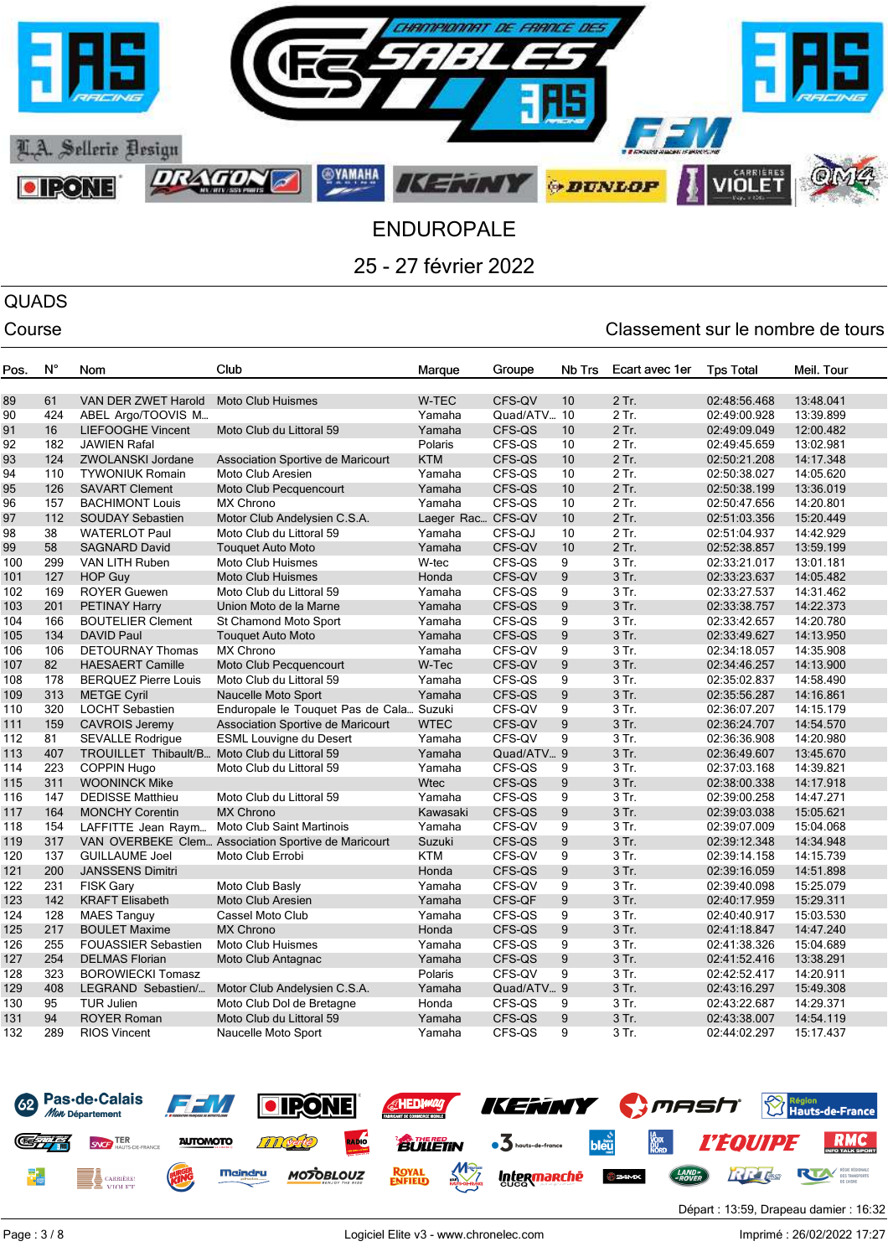

# QUADS

### Course Course Course Course Course Course Course Course Course Course Course Course Course Course Course Cours

| Pos.     | N°  | Nom                                             | Club                                                | Marque            | Groupe           | Nb Trs           | Ecart avec 1er | <b>Tps Total</b>             | Meil. Tour             |
|----------|-----|-------------------------------------------------|-----------------------------------------------------|-------------------|------------------|------------------|----------------|------------------------------|------------------------|
| 89       | 61  | VAN DER ZWET Harold                             | <b>Moto Club Huismes</b>                            | <b>W-TEC</b>      | CFS-QV           | 10               | 2 Tr.          | 02:48:56.468                 | 13:48.041              |
|          | 424 | ABEL Argo/TOOVIS M                              |                                                     |                   | Quad/ATV 10      |                  | 2 Tr.          | 02:49:00.928                 | 13:39.899              |
| 90<br>91 | 16  | <b>LIEFOOGHE Vincent</b>                        | Moto Club du Littoral 59                            | Yamaha<br>Yamaha  | CFS-QS           | 10               | 2 Tr.          | 02:49:09.049                 | 12:00.482              |
| 92       | 182 | <b>JAWIEN Rafal</b>                             |                                                     | Polaris           | CFS-QS           | 10               | 2 Tr.          | 02:49:45.659                 | 13:02.981              |
| 93       | 124 |                                                 |                                                     |                   | CFS-QS           | $10$             | 2 Tr.          |                              |                        |
|          | 110 | ZWOLANSKI Jordane                               | Association Sportive de Maricourt                   | <b>KTM</b>        |                  |                  |                | 02:50:21.208                 | 14:17.348              |
| 94<br>95 | 126 | <b>TYWONIUK Romain</b>                          | Moto Club Aresien                                   | Yamaha<br>Yamaha  | CFS-QS<br>CFS-QS | 10<br>10         | 2 Tr.<br>2 Tr. | 02:50:38.027<br>02:50:38.199 | 14:05.620              |
|          | 157 | <b>SAVART Clement</b><br><b>BACHIMONT Louis</b> | Moto Club Pecquencourt                              |                   |                  |                  | 2 Tr.          | 02:50:47.656                 | 13:36.019              |
| 96<br>97 | 112 | <b>SOUDAY Sebastien</b>                         | <b>MX Chrono</b>                                    | Yamaha            | CFS-QS           | 10<br>10         | 2 Tr.          | 02:51:03.356                 | 14:20.801<br>15:20.449 |
|          |     |                                                 | Motor Club Andelysien C.S.A.                        | Laeger Rac CFS-QV |                  |                  |                |                              |                        |
| 98       | 38  | <b>WATERLOT Paul</b>                            | Moto Club du Littoral 59                            | Yamaha            | CFS-QJ           | 10               | 2 Tr.          | 02:51:04.937                 | 14:42.929              |
| 99       | 58  | <b>SAGNARD David</b>                            | <b>Touquet Auto Moto</b>                            | Yamaha            | CFS-QV           | 10               | 2 Tr.          | 02:52:38.857                 | 13:59.199              |
| 100      | 299 | VAN LITH Ruben                                  | Moto Club Huismes                                   | W-tec             | CFS-QS           | 9                | 3 Tr.          | 02:33:21.017                 | 13:01.181              |
| 101      | 127 | <b>HOP Guy</b>                                  | <b>Moto Club Huismes</b>                            | Honda             | CFS-QV           | 9                | 3 Tr.          | 02:33:23.637                 | 14:05.482              |
| 102      | 169 | <b>ROYER Guewen</b>                             | Moto Club du Littoral 59                            | Yamaha            | CFS-QS           | 9                | 3 Tr.          | 02:33:27.537                 | 14:31.462              |
| 103      | 201 | <b>PETINAY Harry</b>                            | Union Moto de la Marne                              | Yamaha            | CFS-QS           | 9                | 3 Tr.          | 02:33:38.757                 | 14:22.373              |
| 104      | 166 | <b>BOUTELIER Clement</b>                        | St Chamond Moto Sport                               | Yamaha            | CFS-QS           | 9                | 3 Tr.          | 02:33:42.657                 | 14:20.780              |
| 105      | 134 | <b>DAVID Paul</b>                               | <b>Touquet Auto Moto</b>                            | Yamaha            | CFS-QS           | 9                | 3 Tr.          | 02:33:49.627                 | 14:13.950              |
| 106      | 106 | <b>DETOURNAY Thomas</b>                         | <b>MX Chrono</b>                                    | Yamaha            | CFS-QV           | 9                | 3 Tr.          | 02:34:18.057                 | 14:35.908              |
| 107      | 82  | <b>HAESAERT Camille</b>                         | Moto Club Pecquencourt                              | W-Tec             | CFS-QV           | 9                | 3 Tr.          | 02:34:46.257                 | 14:13.900              |
| 108      | 178 | <b>BERQUEZ Pierre Louis</b>                     | Moto Club du Littoral 59                            | Yamaha            | CFS-QS           | $\overline{9}$   | 3 Tr.          | 02:35:02.837                 | 14:58.490              |
| 109      | 313 | <b>METGE Cyril</b>                              | Naucelle Moto Sport                                 | Yamaha            | CFS-QS           | 9                | 3 Tr.          | 02:35:56.287                 | 14:16.861              |
| 110      | 320 | <b>LOCHT Sebastien</b>                          | Enduropale le Touquet Pas de Cala Suzuki            |                   | CFS-QV           | 9                | 3 Tr.          | 02:36:07.207                 | 14:15.179              |
| 111      | 159 | <b>CAVROIS Jeremy</b>                           | Association Sportive de Maricourt                   | <b>WTEC</b>       | CFS-QV           | 9                | 3 Tr.          | 02:36:24.707                 | 14:54.570              |
| 112      | 81  | <b>SEVALLE Rodrigue</b>                         | <b>ESML Louvigne du Desert</b>                      | Yamaha            | CFS-QV           | 9                | 3 Tr.          | 02:36:36.908                 | 14:20.980              |
| 113      | 407 | TROUILLET Thibault/B Moto Club du Littoral 59   |                                                     | Yamaha            | Quad/ATV 9       |                  | 3 Tr.          | 02:36:49.607                 | 13:45.670              |
| 114      | 223 | COPPIN Hugo                                     | Moto Club du Littoral 59                            | Yamaha            | CFS-QS           | 9                | 3 Tr.          | 02:37:03.168                 | 14:39.821              |
| 115      | 311 | <b>WOONINCK Mike</b>                            |                                                     | <b>Wtec</b>       | CFS-QS           | $\boldsymbol{9}$ | 3 Tr.          | 02:38:00.338                 | 14:17.918              |
| 116      | 147 | <b>DEDISSE Matthieu</b>                         | Moto Club du Littoral 59                            | Yamaha            | CFS-QS           | 9                | 3 Tr.          | 02:39:00.258                 | 14:47.271              |
| 117      | 164 | <b>MONCHY Corentin</b>                          | <b>MX Chrono</b>                                    | Kawasaki          | CFS-QS           | 9                | 3 Tr.          | 02:39:03.038                 | 15:05.621              |
| 118      | 154 | LAFFITTE Jean Raym                              | <b>Moto Club Saint Martinois</b>                    | Yamaha            | CFS-QV           | 9                | 3 Tr.          | 02:39:07.009                 | 15:04.068              |
| 119      | 317 |                                                 | VAN OVERBEKE Clem Association Sportive de Maricourt | Suzuki            | CFS-QS           | $\boldsymbol{9}$ | 3 Tr.          | 02:39:12.348                 | 14:34.948              |
| 120      | 137 | <b>GUILLAUME Joel</b>                           | Moto Club Errobi                                    | <b>KTM</b>        | CFS-QV           | 9                | 3 Tr.          | 02:39:14.158                 | 14:15.739              |
| 121      | 200 | <b>JANSSENS Dimitri</b>                         |                                                     | Honda             | CFS-QS           | 9                | 3 Tr.          | 02:39:16.059                 | 14:51.898              |
| 122      | 231 | <b>FISK Gary</b>                                | Moto Club Basly                                     | Yamaha            | CFS-QV           | 9                | 3 Tr.          | 02:39:40.098                 | 15:25.079              |
| 123      | 142 | <b>KRAFT Elisabeth</b>                          | Moto Club Aresien                                   | Yamaha            | CFS-QF           | 9                | 3 Tr.          | 02:40:17.959                 | 15:29.311              |
| 124      | 128 | <b>MAES Tanguy</b>                              | Cassel Moto Club                                    | Yamaha            | CFS-QS           | 9                | 3 Tr.          | 02:40:40.917                 | 15:03.530              |
| 125      | 217 | <b>BOULET Maxime</b>                            | <b>MX Chrono</b>                                    | Honda             | CFS-QS           | 9                | 3 Tr.          | 02:41:18.847                 | 14:47.240              |
| 126      | 255 | <b>FOUASSIER Sebastien</b>                      | Moto Club Huismes                                   | Yamaha            | CFS-QS           | 9                | 3 Tr.          | 02:41:38.326                 | 15:04.689              |
| 127      | 254 | <b>DELMAS Florian</b>                           | Moto Club Antagnac                                  | Yamaha            | CFS-QS           | 9                | 3 Tr.          | 02:41:52.416                 | 13:38.291              |
| 128      | 323 | <b>BOROWIECKI Tomasz</b>                        |                                                     | Polaris           | CFS-QV           | 9                | 3 Tr.          | 02:42:52.417                 | 14:20.911              |
| 129      | 408 | LEGRAND Sebastien/                              | Motor Club Andelysien C.S.A.                        | Yamaha            | Quad/ATV 9       |                  | 3 Tr.          | 02:43:16.297                 | 15:49.308              |
| 130      | 95  | <b>TUR Julien</b>                               | Moto Club Dol de Bretagne                           | Honda             | CFS-QS           | 9                | 3 Tr.          | 02:43:22.687                 | 14:29.371              |
| 131      | 94  | <b>ROYER Roman</b>                              | Moto Club du Littoral 59                            | Yamaha            | CFS-QS           | 9                | 3 Tr.          | 02:43:38.007                 | 14:54.119              |
| 132      | 289 | <b>RIOS Vincent</b>                             | Naucelle Moto Sport                                 | Yamaha            | CFS-QS           | 9                | 3 Tr.          | 02:44:02.297                 | 15:17.437              |

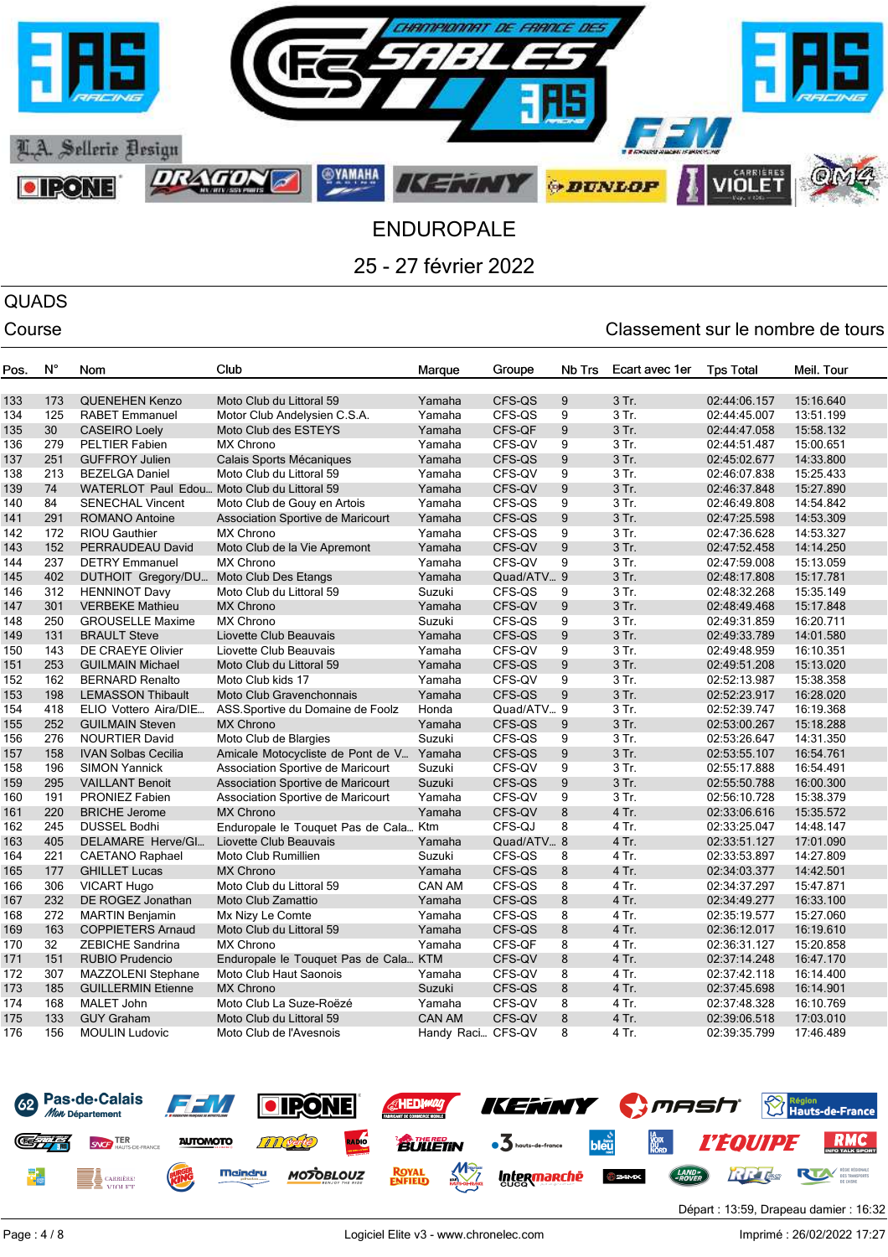

# QUADS

## Course Course Course Course Course Course Course Course Course Course Course Course Course Course Course Cours

| Pos. | N°  | Nom                                         | Club                                  | Marque            | Groupe     | Nb Trs           | Ecart avec 1er | <b>Tps Total</b> | Meil. Tour |
|------|-----|---------------------------------------------|---------------------------------------|-------------------|------------|------------------|----------------|------------------|------------|
|      |     |                                             |                                       |                   |            |                  |                |                  |            |
| 133  | 173 | <b>QUENEHEN Kenzo</b>                       | Moto Club du Littoral 59              | Yamaha            | CFS-QS     | 9                | 3 Tr.          | 02:44:06.157     | 15:16.640  |
| 134  | 125 | <b>RABET Emmanuel</b>                       | Motor Club Andelysien C.S.A.          | Yamaha            | CFS-QS     | 9                | 3 Tr.          | 02:44:45.007     | 13:51.199  |
| 135  | 30  | <b>CASEIRO Loely</b>                        | Moto Club des ESTEYS                  | Yamaha            | CFS-QF     | 9                | 3 Tr.          | 02:44:47.058     | 15:58.132  |
| 136  | 279 | PELTIER Fabien                              | MX Chrono                             | Yamaha            | CFS-QV     | 9                | 3 Tr.          | 02:44:51.487     | 15:00.651  |
| 137  | 251 | <b>GUFFROY Julien</b>                       | Calais Sports Mécaniques              | Yamaha            | CFS-QS     | 9                | 3 Tr.          | 02:45:02.677     | 14:33.800  |
| 138  | 213 | <b>BEZELGA Daniel</b>                       | Moto Club du Littoral 59              | Yamaha            | CFS-QV     | 9                | 3 Tr.          | 02:46:07.838     | 15:25.433  |
| 139  | 74  | WATERLOT Paul Edou Moto Club du Littoral 59 |                                       | Yamaha            | CFS-QV     | 9                | 3 Tr.          | 02:46:37.848     | 15:27.890  |
| 140  | 84  | <b>SENECHAL Vincent</b>                     | Moto Club de Gouy en Artois           | Yamaha            | CFS-QS     | 9                | 3 Tr.          | 02:46:49.808     | 14:54.842  |
| 141  | 291 | <b>ROMANO Antoine</b>                       | Association Sportive de Maricourt     | Yamaha            | CFS-QS     | $9\,$            | 3 Tr.          | 02:47:25.598     | 14:53.309  |
| 142  | 172 | <b>RIOU Gauthier</b>                        | MX Chrono                             | Yamaha            | CFS-QS     | 9                | 3 Tr.          | 02:47:36.628     | 14:53.327  |
| 143  | 152 | PERRAUDEAU David                            | Moto Club de la Vie Apremont          | Yamaha            | CFS-QV     | $9\,$            | 3 Tr.          | 02:47:52.458     | 14:14.250  |
| 144  | 237 | <b>DETRY Emmanuel</b>                       | <b>MX Chrono</b>                      | Yamaha            | CFS-QV     | 9                | 3 Tr.          | 02:47:59.008     | 15:13.059  |
| 145  | 402 | DUTHOIT Gregory/DU                          | Moto Club Des Etangs                  | Yamaha            | Quad/ATV 9 |                  | 3 Tr.          | 02:48:17.808     | 15:17.781  |
| 146  | 312 | <b>HENNINOT Davy</b>                        | Moto Club du Littoral 59              | Suzuki            | CFS-QS     | 9                | 3 Tr.          | 02:48:32.268     | 15:35.149  |
| 147  | 301 | <b>VERBEKE Mathieu</b>                      | <b>MX Chrono</b>                      | Yamaha            | CFS-QV     | 9                | 3 Tr.          | 02:48:49.468     | 15:17.848  |
| 148  | 250 | <b>GROUSELLE Maxime</b>                     | <b>MX Chrono</b>                      | Suzuki            | CFS-QS     | 9                | 3 Tr.          | 02:49:31.859     | 16:20.711  |
| 149  | 131 | <b>BRAULT Steve</b>                         | Liovette Club Beauvais                | Yamaha            | CFS-QS     | 9                | 3 Tr.          | 02:49:33.789     | 14:01.580  |
| 150  | 143 | DE CRAEYE Olivier                           | Liovette Club Beauvais                | Yamaha            | CFS-QV     | 9                | 3 Tr.          | 02:49:48.959     | 16:10.351  |
| 151  | 253 | <b>GUILMAIN Michael</b>                     | Moto Club du Littoral 59              | Yamaha            | CFS-QS     | 9                | 3 Tr.          | 02:49:51.208     | 15:13.020  |
| 152  | 162 | <b>BERNARD Renalto</b>                      | Moto Club kids 17                     | Yamaha            | CFS-QV     | 9                | 3 Tr.          | 02:52:13.987     | 15:38.358  |
| 153  | 198 | <b>LEMASSON Thibault</b>                    | Moto Club Gravenchonnais              | Yamaha            | CFS-QS     | 9                | 3 Tr.          | 02:52:23.917     | 16:28.020  |
| 154  | 418 | ELIO Vottero Aira/DIE                       | ASS.Sportive du Domaine de Foolz      | Honda             | Quad/ATV 9 |                  | 3 Tr.          | 02:52:39.747     | 16:19.368  |
| 155  | 252 | <b>GUILMAIN Steven</b>                      | <b>MX Chrono</b>                      | Yamaha            | CFS-QS     | $9\,$            | 3 Tr.          | 02:53:00.267     | 15:18.288  |
| 156  | 276 | <b>NOURTIER David</b>                       | Moto Club de Blargies                 | Suzuki            | CFS-QS     | 9                | 3 Tr.          | 02:53:26.647     | 14:31.350  |
| 157  | 158 | <b>IVAN Solbas Cecilia</b>                  | Amicale Motocycliste de Pont de V     | Yamaha            | CFS-QS     | $9\,$            | 3 Tr.          | 02:53:55.107     | 16:54.761  |
| 158  | 196 | <b>SIMON Yannick</b>                        | Association Sportive de Maricourt     | Suzuki            | CFS-QV     | 9                | 3 Tr.          | 02:55:17.888     | 16:54.491  |
| 159  | 295 | <b>VAILLANT Benoit</b>                      | Association Sportive de Maricourt     | Suzuki            | CFS-QS     | $\boldsymbol{9}$ | 3 Tr.          | 02:55:50.788     | 16:00.300  |
| 160  | 191 | <b>PRONIEZ Fabien</b>                       | Association Sportive de Maricourt     | Yamaha            | CFS-QV     | 9                | 3 Tr.          | 02:56:10.728     | 15:38.379  |
| 161  | 220 | <b>BRICHE Jerome</b>                        | <b>MX Chrono</b>                      | Yamaha            | CFS-QV     | 8                | 4 Tr.          | 02:33:06.616     | 15:35.572  |
| 162  | 245 | <b>DUSSEL Bodhi</b>                         | Enduropale le Touquet Pas de Cala Ktm |                   | CFS-QJ     | 8                | 4 Tr.          | 02:33:25.047     | 14:48.147  |
| 163  | 405 | DELAMARE Herve/GI                           | Liovette Club Beauvais                | Yamaha            | Quad/ATV 8 |                  | 4 Tr.          | 02:33:51.127     | 17:01.090  |
| 164  | 221 | <b>CAETANO Raphael</b>                      | Moto Club Rumillien                   | Suzuki            | CFS-QS     | 8                | 4 Tr.          | 02:33:53.897     | 14:27.809  |
| 165  | 177 | <b>GHILLET Lucas</b>                        | <b>MX Chrono</b>                      | Yamaha            | CFS-QS     | 8                | 4 Tr.          | 02:34:03.377     | 14:42.501  |
| 166  | 306 | <b>VICART Hugo</b>                          | Moto Club du Littoral 59              | <b>CAN AM</b>     | CFS-QS     | 8                | 4 Tr.          | 02:34:37.297     | 15:47.871  |
| 167  | 232 | DE ROGEZ Jonathan                           | Moto Club Zamattio                    | Yamaha            | CFS-QS     | 8                | 4 Tr.          | 02:34:49.277     | 16:33.100  |
| 168  | 272 | <b>MARTIN Benjamin</b>                      | Mx Nizy Le Comte                      | Yamaha            | CFS-QS     | 8                | 4 Tr.          | 02:35:19.577     | 15:27.060  |
| 169  | 163 | <b>COPPIETERS Arnaud</b>                    | Moto Club du Littoral 59              | Yamaha            | CFS-QS     | 8                | 4 Tr.          | 02:36:12.017     | 16:19.610  |
| 170  | 32  | ZEBICHE Sandrina                            | <b>MX Chrono</b>                      | Yamaha            | CFS-QF     | 8                | 4 Tr.          | 02:36:31.127     | 15:20.858  |
| 171  | 151 | <b>RUBIO Prudencio</b>                      | Enduropale le Touquet Pas de Cala KTM |                   | CFS-QV     | 8                | 4 Tr.          | 02:37:14.248     | 16:47.170  |
| 172  | 307 | <b>MAZZOLENI Stephane</b>                   | Moto Club Haut Saonois                | Yamaha            | CFS-QV     | 8                | 4 Tr.          | 02:37:42.118     | 16:14.400  |
| 173  | 185 | <b>GUILLERMIN Etienne</b>                   | <b>MX Chrono</b>                      | Suzuki            | CFS-QS     | 8                | 4 Tr.          | 02:37:45.698     | 16:14.901  |
| 174  | 168 | <b>MALET John</b>                           | Moto Club La Suze-Roëzé               | Yamaha            | CFS-QV     | 8                | 4 Tr.          | 02:37:48.328     | 16:10.769  |
| 175  | 133 | <b>GUY Graham</b>                           | Moto Club du Littoral 59              | <b>CAN AM</b>     | CFS-QV     | 8                | 4 Tr.          | 02:39:06.518     | 17:03.010  |
| 176  | 156 | <b>MOULIN Ludovic</b>                       | Moto Club de l'Avesnois               | Handy Raci CFS-QV |            | 8                | 4 Tr.          | 02:39:35.799     | 17:46.489  |

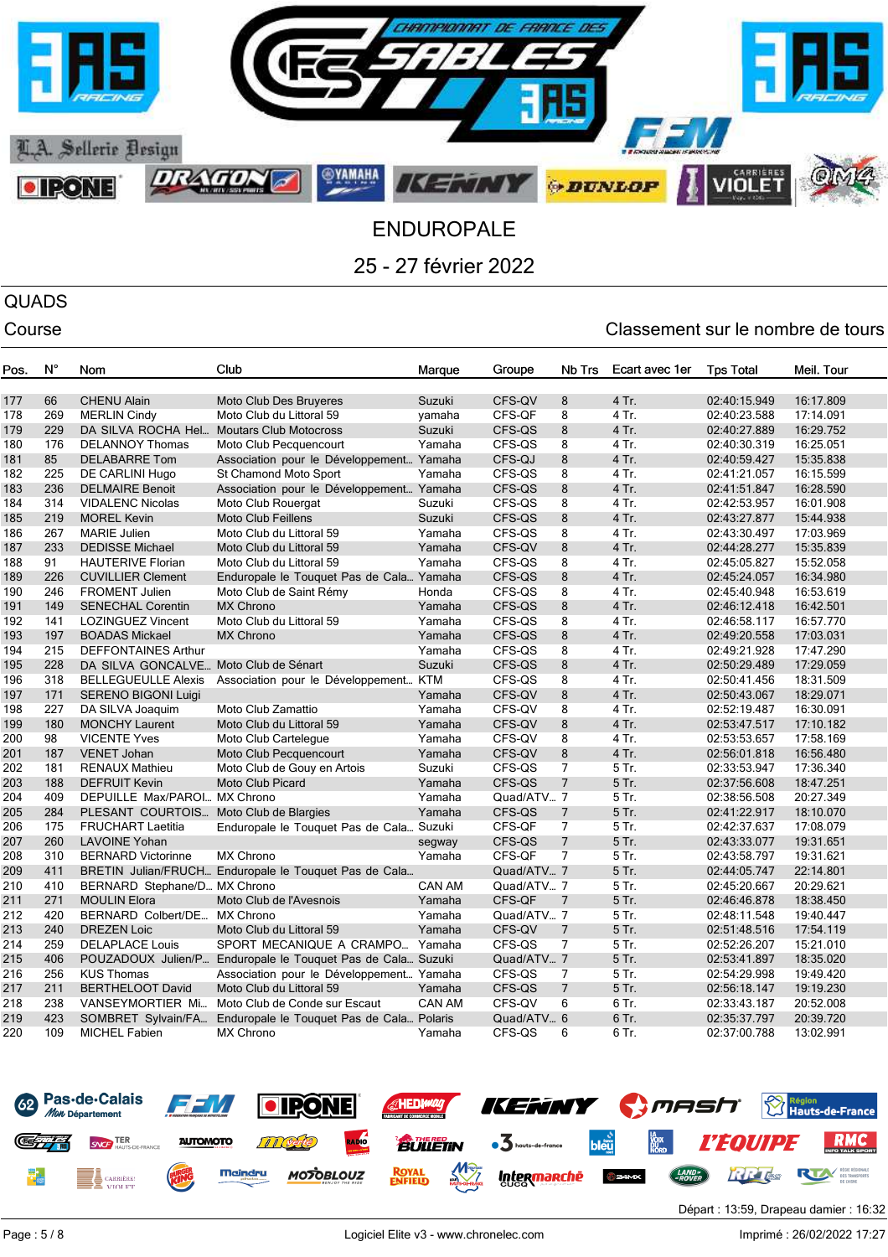

# QUADS

### Course Course Course Course Course Course Course Course Course Course Course Course Course Course Course Cours

| Pos.       | N°         | Nom                                           | Club                                                        | Marque           | Groupe           | Nb Trs              | Ecart avec 1er | <b>Tps Total</b>             | Meil. Tour             |
|------------|------------|-----------------------------------------------|-------------------------------------------------------------|------------------|------------------|---------------------|----------------|------------------------------|------------------------|
| 177        | 66         | <b>CHENU Alain</b>                            | Moto Club Des Bruyeres                                      | Suzuki           | CFS-QV           | 8                   | 4 Tr.          | 02:40:15.949                 | 16:17.809              |
| 178        | 269        | <b>MERLIN Cindy</b>                           | Moto Club du Littoral 59                                    | yamaha           | CFS-QF           | 8                   | 4 Tr.          | 02:40:23.588                 | 17:14.091              |
| 179        | 229        | DA SILVA ROCHA Hel                            | <b>Moutars Club Motocross</b>                               | Suzuki           | CFS-QS           | 8                   | 4 Tr.          | 02:40:27.889                 | 16:29.752              |
| 180        | 176        | <b>DELANNOY Thomas</b>                        | Moto Club Pecquencourt                                      | Yamaha           | CFS-QS           | 8                   | 4 Tr.          | 02:40:30.319                 | 16:25.051              |
| 181        | 85         | <b>DELABARRE Tom</b>                          | Association pour le Développement Yamaha                    |                  | CFS-QJ           | 8                   | 4 Tr.          | 02:40:59.427                 | 15:35.838              |
| 182        | 225        | DE CARLINI Hugo                               | St Chamond Moto Sport                                       | Yamaha           | CFS-QS           | 8                   | 4 Tr.          | 02:41:21.057                 | 16:15.599              |
| 183        | 236        | <b>DELMAIRE Benoit</b>                        | Association pour le Développement Yamaha                    |                  | CFS-QS           | 8                   | 4 Tr.          | 02:41:51.847                 | 16:28.590              |
| 184        | 314        | <b>VIDALENC Nicolas</b>                       | Moto Club Rouergat                                          | Suzuki           | CFS-QS           | 8                   | 4 Tr.          | 02:42:53.957                 | 16:01.908              |
| 185        | 219        | <b>MOREL Kevin</b>                            | <b>Moto Club Feillens</b>                                   | Suzuki           | CFS-QS           | 8                   | 4 Tr.          | 02:43:27.877                 | 15:44.938              |
| 186        | 267        | <b>MARIE Julien</b>                           | Moto Club du Littoral 59                                    | Yamaha           | CFS-QS           | 8                   | 4 Tr.          | 02:43:30.497                 | 17:03.969              |
| 187        | 233        | <b>DEDISSE Michael</b>                        | Moto Club du Littoral 59                                    | Yamaha           | CFS-QV           | 8                   | 4 Tr.          | 02:44:28.277                 | 15:35.839              |
| 188        | 91         | <b>HAUTERIVE Florian</b>                      | Moto Club du Littoral 59                                    | Yamaha           | CFS-QS           | 8                   | 4 Tr.          | 02:45:05.827                 | 15:52.058              |
| 189        | 226        | <b>CUVILLIER Clement</b>                      | Enduropale le Touquet Pas de Cala Yamaha                    |                  | CFS-QS           | 8                   | 4 Tr.          | 02:45:24.057                 | 16:34.980              |
| 190        | 246        | <b>FROMENT Julien</b>                         | Moto Club de Saint Rémy                                     | Honda            | CFS-QS           | 8                   | 4 Tr.          | 02:45:40.948                 | 16:53.619              |
| 191        | 149        | <b>SENECHAL Corentin</b>                      | <b>MX Chrono</b>                                            | Yamaha           | CFS-QS           | 8                   | 4 Tr.          | 02:46:12.418                 | 16:42.501              |
| 192        | 141        | <b>LOZINGUEZ Vincent</b>                      | Moto Club du Littoral 59                                    | Yamaha           | CFS-QS           | 8                   | 4 Tr.          | 02:46:58.117                 | 16:57.770              |
| 193        | 197        | <b>BOADAS Mickael</b>                         | <b>MX Chrono</b>                                            | Yamaha           | CFS-QS           | 8                   | 4 Tr.          | 02:49:20.558                 | 17:03.031              |
| 194        | 215        | <b>DEFFONTAINES Arthur</b>                    |                                                             | Yamaha           | CFS-QS           | 8                   | 4 Tr.          | 02:49:21.928                 | 17:47.290              |
| 195        | 228        | DA SILVA GONCALVE                             | Moto Club de Sénart                                         | Suzuki           | CFS-QS           | 8                   | 4 Tr.          | 02:50:29.489                 | 17:29.059              |
| 196        | 318        | <b>BELLEGUEULLE Alexis</b>                    | Association pour le Développement KTM                       |                  | CFS-QS           | 8                   | 4 Tr.          | 02:50:41.456                 | 18:31.509              |
| 197        | 171        | <b>SERENO BIGONI Luigi</b>                    |                                                             | Yamaha           | CFS-QV           | 8                   | 4 Tr.          | 02:50:43.067                 | 18:29.071              |
| 198        | 227        | DA SILVA Joaquim                              | Moto Club Zamattio                                          | Yamaha           | CFS-QV           | 8                   | 4 Tr.          | 02:52:19.487                 | 16:30.091              |
| 199        | 180        | <b>MONCHY Laurent</b>                         | Moto Club du Littoral 59                                    | Yamaha           | CFS-QV           | 8                   | 4 Tr.          | 02:53:47.517                 | 17:10.182              |
| 200        | 98         | <b>VICENTE Yves</b>                           | Moto Club Cartelegue                                        | Yamaha           | CFS-QV           | 8                   | 4 Tr.          | 02:53:53.657                 | 17:58.169              |
| 201        | 187<br>181 | <b>VENET Johan</b>                            | Moto Club Pecquencourt                                      | Yamaha           | CFS-QV           | 8<br>$\overline{7}$ | 4 Tr.<br>5 Tr. | 02:56:01.818                 | 16:56.480              |
| 202<br>203 | 188        | <b>RENAUX Mathieu</b><br><b>DEFRUIT Kevin</b> | Moto Club de Gouy en Artois<br>Moto Club Picard             | Suzuki<br>Yamaha | CFS-QS<br>CFS-QS | 7                   | 5 Tr.          | 02:33:53.947<br>02:37:56.608 | 17:36.340<br>18:47.251 |
| 204        | 409        | DEPUILLE Max/PAROI MX Chrono                  |                                                             | Yamaha           | Quad/ATV 7       |                     | 5 Tr.          | 02:38:56.508                 | 20:27.349              |
| 205        | 284        | PLESANT COURTOIS Moto Club de Blargies        |                                                             | Yamaha           | CFS-QS           | 7                   | 5 Tr.          | 02:41:22.917                 | 18:10.070              |
| 206        | 175        | <b>FRUCHART Laetitia</b>                      | Enduropale le Touquet Pas de Cala Suzuki                    |                  | CFS-QF           | 7                   | 5 Tr.          | 02:42:37.637                 | 17:08.079              |
| 207        | 260        | <b>LAVOINE Yohan</b>                          |                                                             | segway           | CFS-QS           | 7                   | 5 Tr.          | 02:43:33.077                 | 19:31.651              |
| 208        | 310        | <b>BERNARD Victorinne</b>                     | <b>MX Chrono</b>                                            | Yamaha           | CFS-QF           | $\overline{7}$      | 5 Tr.          | 02:43:58.797                 | 19:31.621              |
| 209        | 411        |                                               | BRETIN Julian/FRUCH Enduropale le Touquet Pas de Cala       |                  | Quad/ATV 7       |                     | 5 Tr.          | 02:44:05.747                 | 22:14.801              |
| 210        | 410        | BERNARD Stephane/D MX Chrono                  |                                                             | <b>CAN AM</b>    | Quad/ATV 7       |                     | 5 Tr.          | 02:45:20.667                 | 20:29.621              |
| 211        | 271        | <b>MOULIN Elora</b>                           | Moto Club de l'Avesnois                                     | Yamaha           | CFS-QF           | 7                   | 5 Tr.          | 02:46:46.878                 | 18:38.450              |
| 212        | 420        | BERNARD Colbert/DE MX Chrono                  |                                                             | Yamaha           | Quad/ATV 7       |                     | 5 Tr.          | 02:48:11.548                 | 19:40.447              |
| 213        | 240        | <b>DREZEN Loic</b>                            | Moto Club du Littoral 59                                    | Yamaha           | CFS-QV           | $\overline{7}$      | 5 Tr.          | 02:51:48.516                 | 17:54.119              |
| 214        | 259        | <b>DELAPLACE Louis</b>                        | SPORT MECANIQUE A CRAMPO Yamaha                             |                  | CFS-QS           | 7                   | 5 Tr.          | 02:52:26.207                 | 15:21.010              |
| 215        | 406        |                                               | POUZADOUX Julien/P Enduropale le Touquet Pas de Cala Suzuki |                  | Quad/ATV 7       |                     | 5 Tr.          | 02:53:41.897                 | 18:35.020              |
| 216        | 256        | <b>KUS Thomas</b>                             | Association pour le Développement Yamaha                    |                  | CFS-QS           | 7                   | 5 Tr.          | 02:54:29.998                 | 19:49.420              |
| 217        | 211        | <b>BERTHELOOT David</b>                       | Moto Club du Littoral 59                                    | Yamaha           | CFS-QS           | $\overline{7}$      | 5 Tr.          | 02:56:18.147                 | 19:19.230              |
| 218        | 238        | VANSEYMORTIER Mi                              | Moto Club de Conde sur Escaut                               | <b>CAN AM</b>    | CFS-QV           | 6                   | 6 Tr.          | 02:33:43.187                 | 20:52.008              |
| 219        | 423        | SOMBRET Sylvain/FA                            | Enduropale le Touquet Pas de Cala Polaris                   |                  | Quad/ATV 6       |                     | 6 Tr.          | 02:35:37.797                 | 20:39.720              |
| 220        | 109        | <b>MICHEL Fabien</b>                          | <b>MX Chrono</b>                                            | Yamaha           | CFS-QS           | 6                   | 6 Tr.          | 02:37:00.788                 | 13:02.991              |
|            |            |                                               |                                                             |                  |                  |                     |                |                              |                        |

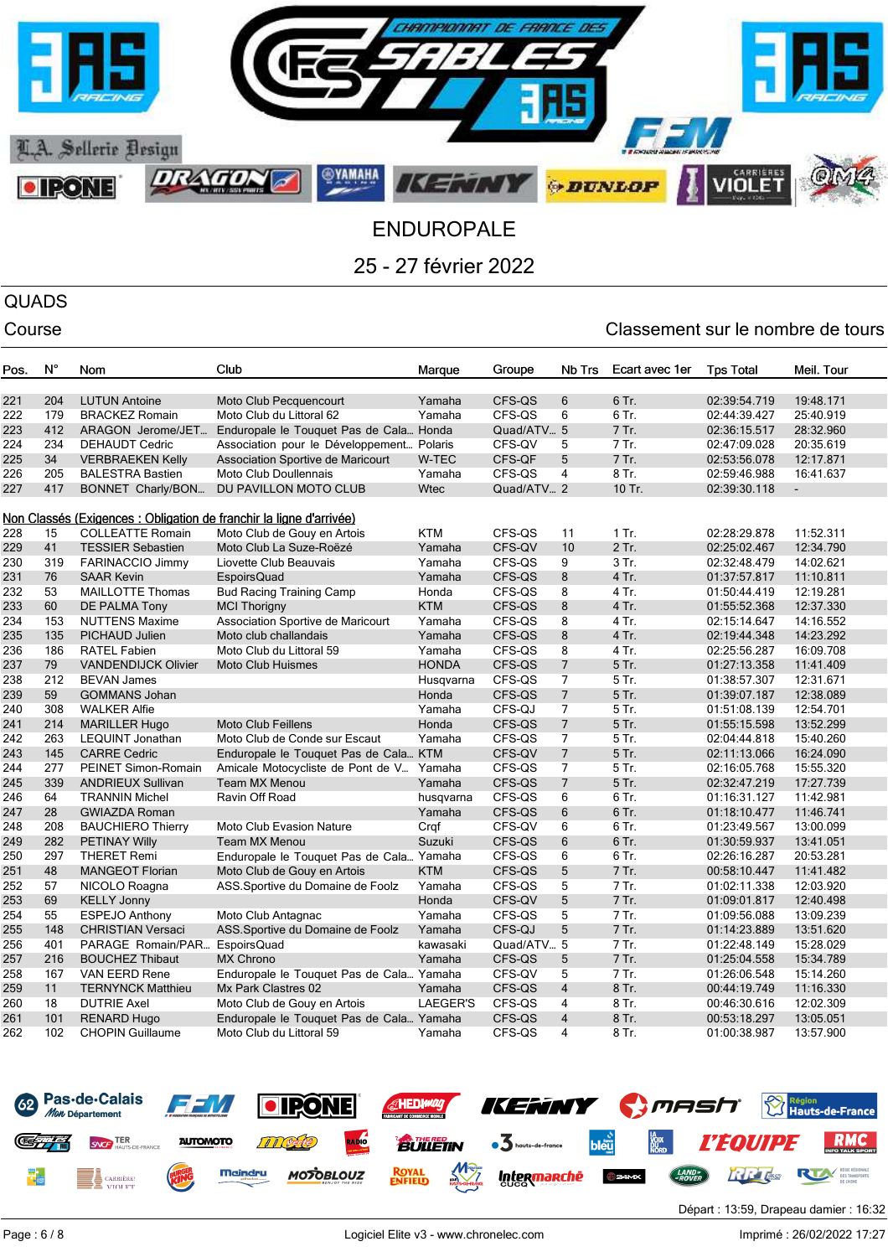

## QUADS

### Course Course Course Course Course Course Course Course Course Course Course Course Course Course Course Cours

| Pos. | N°  | Nom                        | Club                                                                | Marque       | Groupe     | Nb Trs          | Ecart avec 1er | <b>Tps Total</b> | Meil. Tour     |
|------|-----|----------------------------|---------------------------------------------------------------------|--------------|------------|-----------------|----------------|------------------|----------------|
|      |     |                            |                                                                     |              |            |                 |                |                  |                |
| 221  | 204 | <b>LUTUN Antoine</b>       | Moto Club Pecquencourt                                              | Yamaha       | CFS-QS     | 6               | 6 Tr.          | 02:39:54.719     | 19:48.171      |
| 222  | 179 | <b>BRACKEZ Romain</b>      | Moto Club du Littoral 62                                            | Yamaha       | CFS-QS     | 6               | 6 Tr.          | 02:44:39.427     | 25:40.919      |
| 223  | 412 | ARAGON Jerome/JET          | Enduropale le Touquet Pas de Cala Honda                             |              | Quad/ATV 5 |                 | 7 Tr.          | 02:36:15.517     | 28:32.960      |
| 224  | 234 | <b>DEHAUDT Cedric</b>      | Association pour le Développement Polaris                           |              | CFS-QV     | 5               | 7 Tr.          | 02:47:09.028     | 20:35.619      |
| 225  | 34  | <b>VERBRAEKEN Kelly</b>    | Association Sportive de Maricourt                                   | W-TEC        | CFS-QF     | 5               | 7 Tr.          | 02:53:56.078     | 12:17.871      |
| 226  | 205 | <b>BALESTRA Bastien</b>    | Moto Club Doullennais                                               | Yamaha       | CFS-QS     | 4               | 8 Tr.          | 02:59:46.988     | 16:41.637      |
| 227  | 417 | <b>BONNET Charly/BON</b>   | DU PAVILLON MOTO CLUB                                               | <b>Wtec</b>  | Quad/ATV 2 |                 | 10 Tr.         | 02:39:30.118     | $\blacksquare$ |
|      |     |                            | Non Classés (Exigences : Obligation de franchir la ligne d'arrivée) |              |            |                 |                |                  |                |
| 228  | 15  | <b>COLLEATTE Romain</b>    | Moto Club de Gouy en Artois                                         | <b>KTM</b>   | CFS-QS     | 11              | $1$ Tr.        | 02:28:29.878     | 11:52.311      |
| 229  | 41  | <b>TESSIER Sebastien</b>   | Moto Club La Suze-Roëzé                                             | Yamaha       | CFS-QV     | 10              | 2 Tr.          | 02:25:02.467     | 12:34.790      |
| 230  | 319 | <b>FARINACCIO Jimmy</b>    | Liovette Club Beauvais                                              | Yamaha       | CFS-QS     | 9               | 3 Tr.          | 02:32:48.479     | 14:02.621      |
| 231  | 76  | <b>SAAR Kevin</b>          | <b>EspoirsQuad</b>                                                  | Yamaha       | CFS-QS     | 8               | 4 Tr.          | 01:37:57.817     | 11:10.811      |
| 232  | 53  | <b>MAILLOTTE Thomas</b>    | <b>Bud Racing Training Camp</b>                                     | Honda        | CFS-QS     | 8               | 4 Tr.          | 01:50:44.419     | 12:19.281      |
| 233  | 60  | <b>DE PALMA Tony</b>       | <b>MCI</b> Thorigny                                                 | <b>KTM</b>   | CFS-QS     | 8               | 4 Tr.          | 01:55:52.368     | 12:37.330      |
| 234  | 153 | <b>NUTTENS Maxime</b>      | Association Sportive de Maricourt                                   | Yamaha       | CFS-QS     | 8               | 4 Tr.          | 02:15:14.647     | 14:16.552      |
| 235  | 135 | PICHAUD Julien             | Moto club challandais                                               | Yamaha       | CFS-QS     | $\bf 8$         | 4 Tr.          | 02:19:44.348     | 14:23.292      |
| 236  | 186 | RATEL Fabien               | Moto Club du Littoral 59                                            | Yamaha       | CFS-QS     | 8               | 4 Tr.          | 02:25:56.287     | 16:09.708      |
| 237  | 79  | <b>VANDENDIJCK Olivier</b> | <b>Moto Club Huismes</b>                                            | <b>HONDA</b> | CFS-QS     | $\overline{7}$  | 5 Tr.          | 01:27:13.358     | 11:41.409      |
| 238  | 212 | <b>BEVAN James</b>         |                                                                     | Husqvarna    | CFS-QS     | 7               | 5 Tr.          | 01:38:57.307     | 12:31.671      |
| 239  | 59  | <b>GOMMANS Johan</b>       |                                                                     | Honda        | CFS-QS     | $\overline{7}$  | 5 Tr.          | 01:39:07.187     | 12:38.089      |
| 240  | 308 | <b>WALKER Alfie</b>        |                                                                     | Yamaha       | CFS-QJ     | 7               | 5 Tr.          | 01:51:08.139     | 12:54.701      |
| 241  | 214 | <b>MARILLER Hugo</b>       | <b>Moto Club Feillens</b>                                           | Honda        | CFS-QS     | $\overline{7}$  | 5 Tr.          | 01:55:15.598     | 13:52.299      |
| 242  | 263 | LEQUINT Jonathan           | Moto Club de Conde sur Escaut                                       | Yamaha       | CFS-QS     | 7               | 5 Tr.          | 02:04:44.818     | 15:40.260      |
| 243  | 145 | <b>CARRE Cedric</b>        | Enduropale le Touquet Pas de Cala KTM                               |              | CFS-QV     | $\overline{7}$  | 5 Tr.          | 02:11:13.066     | 16:24.090      |
| 244  | 277 | PEINET Simon-Romain        | Amicale Motocycliste de Pont de V Yamaha                            |              | CFS-QS     | $\overline{7}$  | 5 Tr.          | 02:16:05.768     | 15:55.320      |
| 245  | 339 | <b>ANDRIEUX Sullivan</b>   | <b>Team MX Menou</b>                                                | Yamaha       | CFS-QS     | $\overline{7}$  | 5 Tr.          | 02:32:47.219     | 17:27.739      |
| 246  | 64  | <b>TRANNIN Michel</b>      | Ravin Off Road                                                      | husqvarna    | CFS-QS     | 6               | 6 Tr.          | 01:16:31.127     | 11:42.981      |
| 247  | 28  | <b>GWIAZDA Roman</b>       |                                                                     | Yamaha       | CFS-QS     | $6\phantom{1}6$ | 6 Tr.          | 01:18:10.477     | 11:46.741      |
| 248  | 208 | <b>BAUCHIERO Thierry</b>   | <b>Moto Club Evasion Nature</b>                                     | Craf         | CFS-QV     | 6               | 6 Tr.          | 01:23:49.567     | 13:00.099      |
| 249  | 282 | <b>PETINAY Willy</b>       | <b>Team MX Menou</b>                                                | Suzuki       | CFS-QS     | 6               | 6 Tr.          | 01:30:59.937     | 13:41.051      |
| 250  | 297 | <b>THERET Remi</b>         | Enduropale le Touquet Pas de Cala Yamaha                            |              | CFS-QS     | 6               | 6 Tr.          | 02:26:16.287     | 20:53.281      |
| 251  | 48  | <b>MANGEOT Florian</b>     | Moto Club de Gouy en Artois                                         | <b>KTM</b>   | CFS-QS     | 5               | 7 Tr.          | 00:58:10.447     | 11:41.482      |
| 252  | 57  | NICOLO Roagna              | ASS.Sportive du Domaine de Foolz                                    | Yamaha       | CFS-QS     | 5               | 7 Tr.          | 01:02:11.338     | 12:03.920      |
| 253  | 69  | <b>KELLY Jonny</b>         |                                                                     | Honda        | CFS-QV     | 5               | 7 Tr.          | 01:09:01.817     | 12:40.498      |
| 254  | 55  | <b>ESPEJO Anthony</b>      | Moto Club Antagnac                                                  | Yamaha       | CFS-QS     | 5               | 7 Tr.          | 01:09:56.088     | 13:09.239      |
| 255  | 148 | <b>CHRISTIAN Versaci</b>   | ASS.Sportive du Domaine de Foolz                                    | Yamaha       | CFS-QJ     | 5               | 7 Tr.          | 01:14:23.889     | 13:51.620      |
| 256  | 401 | PARAGE Romain/PAR          | <b>EspoirsQuad</b>                                                  | kawasaki     | Quad/ATV 5 |                 | 7 Tr.          | 01:22:48.149     | 15:28.029      |
| 257  | 216 | <b>BOUCHEZ Thibaut</b>     | <b>MX Chrono</b>                                                    | Yamaha       | CFS-QS     | 5               | 7 Tr.          | 01:25:04.558     | 15:34.789      |
| 258  | 167 | VAN EERD Rene              | Enduropale le Touquet Pas de Cala Yamaha                            |              | CFS-QV     | 5               | 7 Tr.          | 01:26:06.548     | 15:14.260      |
| 259  | 11  | <b>TERNYNCK Matthieu</b>   | Mx Park Clastres 02                                                 | Yamaha       | CFS-QS     | $\overline{4}$  | 8 Tr.          | 00:44:19.749     | 11:16.330      |
| 260  | 18  | <b>DUTRIE Axel</b>         | Moto Club de Gouy en Artois                                         | LAEGER'S     | CFS-QS     | 4               | 8 Tr.          | 00:46:30.616     | 12:02.309      |
| 261  | 101 | <b>RENARD Hugo</b>         | Enduropale le Touquet Pas de Cala Yamaha                            |              | CFS-QS     | $\overline{4}$  | 8 Tr.          | 00:53:18.297     | 13:05.051      |
| 262  | 102 | <b>CHOPIN Guillaume</b>    | Moto Club du Littoral 59                                            | Yamaha       | CFS-QS     | 4               | 8 Tr.          | 01:00:38.987     | 13:57.900      |
|      |     |                            |                                                                     |              |            |                 |                |                  |                |

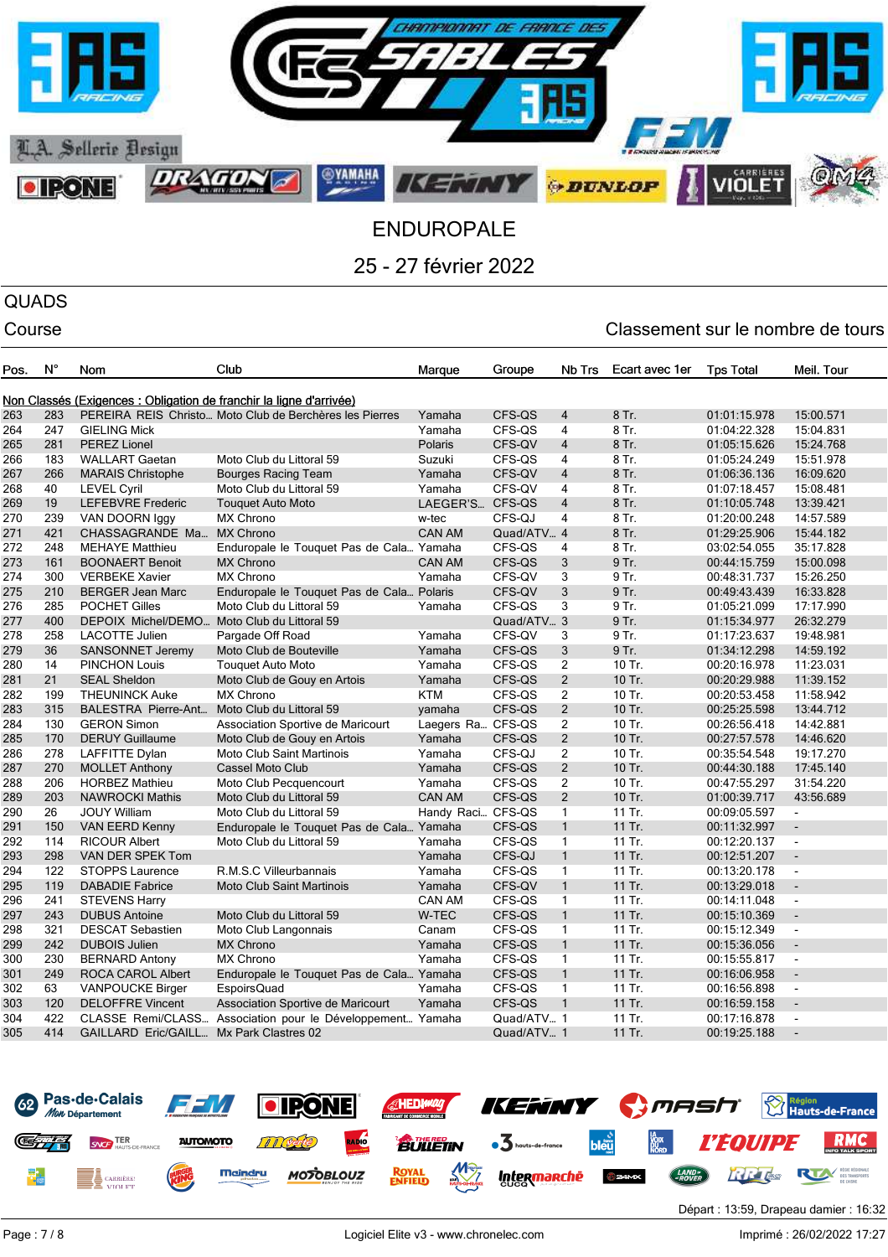

## QUADS

## Course Course Course Course Course Course Course Course Course Course Course Course Course Course Course Cours

| Non Classés (Exigences : Obligation de franchir la ligne d'arrivée)<br>283<br>PEREIRA REIS Christo Moto Club de Berchères les Pierres<br>CFS-QS<br>8 Tr.<br>263<br>Yamaha<br>$\overline{4}$<br>01:01:15.978<br>15:00.571<br>$\overline{4}$<br>8 Tr.<br>247<br>Yamaha<br>CFS-QS<br>01:04:22.328<br>15:04.831<br>264<br><b>GIELING Mick</b><br>281<br><b>PEREZ Lionel</b><br>$\overline{4}$<br>8 Tr.<br>265<br>Polaris<br>CFS-QV<br>01:05:15.626<br>15:24.768<br>183<br><b>WALLART Gaetan</b><br>Moto Club du Littoral 59<br>CFS-QS<br>8 Tr.<br>01:05:24.249<br>266<br>Suzuki<br>4<br>15:51.978<br>266<br>$\overline{4}$<br>8 Tr.<br>267<br><b>MARAIS Christophe</b><br>CFS-QV<br>01:06:36.136<br>16:09.620<br><b>Bourges Racing Team</b><br>Yamaha<br>268<br>40<br><b>LEVEL Cyril</b><br>Moto Club du Littoral 59<br>CFS-QV<br>4<br>8 Tr.<br>01:07:18.457<br>15:08.481<br>Yamaha<br>19<br>$\overline{4}$<br>8 Tr.<br>269<br><b>LEFEBVRE Frederic</b><br><b>Touquet Auto Moto</b><br>LAEGER'S CFS-QS<br>01:10:05.748<br>13:39.421<br>270<br>239<br>CFS-QJ<br>$\overline{4}$<br>8 Tr.<br>14:57.589<br>VAN DOORN Iggy<br><b>MX Chrono</b><br>w-tec<br>01:20:00.248<br>421<br>8 Tr.<br>271<br>CHASSAGRANDE Ma<br><b>MX Chrono</b><br><b>CAN AM</b><br>Quad/ATV 4<br>01:29:25.906<br>15:44.182<br>272<br>248<br>$\overline{4}$<br>8 Tr.<br><b>MEHAYE Matthieu</b><br>Enduropale le Touquet Pas de Cala Yamaha<br>CFS-QS<br>03:02:54.055<br>35:17.828<br>273<br>161<br><b>CAN AM</b><br>CFS-QS<br>3<br>9 Tr.<br><b>BOONAERT Benoit</b><br><b>MX Chrono</b><br>00:44:15.759<br>15:00.098<br>300<br>3<br>274<br><b>VERBEKE Xavier</b><br><b>MX Chrono</b><br>Yamaha<br>CFS-QV<br>9 Tr.<br>00:48:31.737<br>15:26.250<br>275<br>CFS-QV<br>3<br>9 Tr.<br>210<br><b>BERGER Jean Marc</b><br>Enduropale le Touquet Pas de Cala Polaris<br>00:49:43.439<br>16:33.828<br>285<br>3<br>276<br><b>POCHET Gilles</b><br>Moto Club du Littoral 59<br>Yamaha<br>CFS-QS<br>9 Tr.<br>01:05:21.099<br>17:17.990<br>277<br>400<br>Quad/ATV 3<br>9 Tr.<br>DEPOIX Michel/DEMO<br>Moto Club du Littoral 59<br>01:15:34.977<br>26:32.279<br>258<br>278<br><b>LACOTTE Julien</b><br>Pargade Off Road<br>CFS-QV<br>3<br>9 Tr.<br>01:17:23.637<br>19:48.981<br>Yamaha<br>3<br>279<br>36<br>CFS-QS<br>9 Tr.<br>14:59.192<br><b>SANSONNET Jeremy</b><br>Moto Club de Bouteville<br>Yamaha<br>01:34:12.298<br>14<br>CFS-QS<br>$\overline{2}$<br>10 Tr.<br>280<br><b>PINCHON Louis</b><br><b>Touquet Auto Moto</b><br>Yamaha<br>00:20:16.978<br>11:23.031<br>21<br>$\overline{2}$<br>281<br>CFS-QS<br>10 Tr.<br>11:39.152<br><b>SEAL Sheldon</b><br>Moto Club de Gouy en Artois<br>Yamaha<br>00:20:29.988<br>199<br>CFS-QS<br>282<br><b>THEUNINCK Auke</b><br><b>MX Chrono</b><br><b>KTM</b><br>2<br>10 Tr.<br>00:20:53.458<br>11:58.942<br>$\overline{2}$<br>315<br>CFS-QS<br>283<br><b>BALESTRA Pierre-Ant</b><br>Moto Club du Littoral 59<br>10 Tr.<br>00:25:25.598<br>13:44.712<br>yamaha<br>284<br>130<br><b>GERON Simon</b><br>Laegers Ra CFS-QS<br>$\overline{2}$<br>10 Tr.<br>Association Sportive de Maricourt<br>00:26:56.418<br>14:42.881<br>2<br>170<br><b>DERUY Guillaume</b><br>CFS-QS<br>10 Tr.<br>00:27:57.578<br>285<br>Moto Club de Gouy en Artois<br>Yamaha<br>14:46.620<br>278<br>$\overline{2}$<br>286<br>LAFFITTE Dylan<br><b>Moto Club Saint Martinois</b><br>Yamaha<br>CFS-QJ<br>$10$ Tr.<br>00:35:54.548<br>19:17.270<br>$\overline{2}$<br>270<br>CFS-QS<br>10 Tr.<br>287<br><b>MOLLET Anthony</b><br><b>Cassel Moto Club</b><br>00:44:30.188<br>17:45.140<br>Yamaha<br>$\overline{2}$<br>288<br>206<br>CFS-QS<br>10 Tr.<br>00:47:55.297<br>31:54.220<br><b>HORBEZ Mathieu</b><br>Moto Club Pecquencourt<br>Yamaha<br>203<br>$\overline{2}$<br>10 Tr.<br>289<br><b>NAWROCKI Mathis</b><br>Moto Club du Littoral 59<br><b>CAN AM</b><br>CFS-QS<br>01:00:39.717<br>43:56.689<br>Handy Raci CFS-QS<br>290<br>26<br>Moto Club du Littoral 59<br>1<br>11 Tr.<br>00:09:05.597<br><b>JOUY William</b><br>$\blacksquare$<br>291<br>150<br>CFS-QS<br>$\mathbf{1}$<br>11 Tr.<br><b>VAN EERD Kenny</b><br>00:11:32.997<br>Enduropale le Touquet Pas de Cala Yamaha<br>$\overline{\phantom{a}}$<br>114<br>CFS-QS<br>1<br>11 Tr.<br>292<br><b>RICOUR Albert</b><br>Moto Club du Littoral 59<br>Yamaha<br>00:12:20.137<br>$\blacksquare$<br>$\mathbf{1}$<br>11 Tr.<br>293<br>298<br>VAN DER SPEK Tom<br>CFS-QJ<br>00:12:51.207<br>Yamaha<br>$\blacksquare$<br>294<br>122<br><b>STOPPS Laurence</b><br>R.M.S.C Villeurbannais<br>Yamaha<br>CFS-QS<br>1<br>11 Tr.<br>00:13:20.178<br>$\overline{\phantom{a}}$<br>$\mathbf{1}$<br>295<br>119<br>CFS-QV<br>11 Tr.<br><b>DABADIE Fabrice</b><br><b>Moto Club Saint Martinois</b><br>Yamaha<br>00:13:29.018<br>$\mathbf{r}$<br>241<br><b>STEVENS Harry</b><br>CFS-QS<br>$\mathbf{1}$<br>11 Tr.<br>296<br>CAN AM<br>00:14:11.048<br>$\blacksquare$<br>$\mathbf{1}$<br>297<br>243<br><b>DUBUS Antoine</b><br>W-TEC<br>CFS-QS<br>11 Tr.<br>00:15:10.369<br>Moto Club du Littoral 59<br>$\overline{a}$<br>321<br>CFS-QS<br>11 Tr.<br>298<br><b>DESCAT Sebastien</b><br>Moto Club Langonnais<br>Canam<br>$\mathbf{1}$<br>00:15:12.349<br>$\blacksquare$<br>242<br>$\mathbf{1}$<br>CFS-QS<br>11 Tr.<br>299<br><b>DUBOIS Julien</b><br><b>MX Chrono</b><br>Yamaha<br>00:15:36.056<br>$\overline{a}$<br>230<br>CFS-QS<br>$\mathbf{1}$<br>$11$ Tr.<br>300<br><b>BERNARD Antony</b><br><b>MX Chrono</b><br>Yamaha<br>00:15:55.817<br>$\blacksquare$<br>$\mathbf{1}$<br>249<br>Enduropale le Touquet Pas de Cala Yamaha<br>CFS-QS<br>11 Tr.<br>301<br>ROCA CAROL Albert<br>00:16:06.958<br>$\blacksquare$<br>63<br>CFS-QS<br>11 Tr.<br>302<br><b>VANPOUCKE Birger</b><br>EspoirsQuad<br>Yamaha<br>1<br>00:16:56.898<br>$\overline{\phantom{a}}$<br>120<br><b>DELOFFRE Vincent</b><br>CFS-QS<br>$\mathbf{1}$<br>11 Tr.<br>00:16:59.158<br>303<br>Association Sportive de Maricourt<br>Yamaha<br>422<br>Quad/ATV 1<br>11 Tr.<br>00:17:16.878<br>304<br>CLASSE Remi/CLASS Association pour le Développement Yamaha<br>$\sim$<br>414<br>305<br>GAILLARD Eric/GAILL Mx Park Clastres 02<br>Quad/ATV 1<br>11 Tr.<br>00:19:25.188<br>$\blacksquare$ | Pos. | N° | Nom | Club | Marque | Groupe | Nb Trs | Ecart avec 1er | <b>Tps Total</b> | Meil. Tour |
|---------------------------------------------------------------------------------------------------------------------------------------------------------------------------------------------------------------------------------------------------------------------------------------------------------------------------------------------------------------------------------------------------------------------------------------------------------------------------------------------------------------------------------------------------------------------------------------------------------------------------------------------------------------------------------------------------------------------------------------------------------------------------------------------------------------------------------------------------------------------------------------------------------------------------------------------------------------------------------------------------------------------------------------------------------------------------------------------------------------------------------------------------------------------------------------------------------------------------------------------------------------------------------------------------------------------------------------------------------------------------------------------------------------------------------------------------------------------------------------------------------------------------------------------------------------------------------------------------------------------------------------------------------------------------------------------------------------------------------------------------------------------------------------------------------------------------------------------------------------------------------------------------------------------------------------------------------------------------------------------------------------------------------------------------------------------------------------------------------------------------------------------------------------------------------------------------------------------------------------------------------------------------------------------------------------------------------------------------------------------------------------------------------------------------------------------------------------------------------------------------------------------------------------------------------------------------------------------------------------------------------------------------------------------------------------------------------------------------------------------------------------------------------------------------------------------------------------------------------------------------------------------------------------------------------------------------------------------------------------------------------------------------------------------------------------------------------------------------------------------------------------------------------------------------------------------------------------------------------------------------------------------------------------------------------------------------------------------------------------------------------------------------------------------------------------------------------------------------------------------------------------------------------------------------------------------------------------------------------------------------------------------------------------------------------------------------------------------------------------------------------------------------------------------------------------------------------------------------------------------------------------------------------------------------------------------------------------------------------------------------------------------------------------------------------------------------------------------------------------------------------------------------------------------------------------------------------------------------------------------------------------------------------------------------------------------------------------------------------------------------------------------------------------------------------------------------------------------------------------------------------------------------------------------------------------------------------------------------------------------------------------------------------------------------------------------------------------------------------------------------------------------------------------------------------------------------------------------------------------------------------------------------------------------------------------------------------------------------------------------------------------------------------------------------------------------------------------------------------------------------------------------------------------------------------------------------------------------------------------------------------------------------------------------------------------------------------------------------------------------------------------------------------------------------------------------------------------------------------------------------------------------------------------------------------------------------------------------------------------------------------------------------------------------------------------------------------------------------------------------------------------------------------------------------------------------------------------------------------------------------------------------------------------------------------------------------------------------------------------------------------------------------------------------------------------------------------------------------------------------------------------------------|------|----|-----|------|--------|--------|--------|----------------|------------------|------------|
|                                                                                                                                                                                                                                                                                                                                                                                                                                                                                                                                                                                                                                                                                                                                                                                                                                                                                                                                                                                                                                                                                                                                                                                                                                                                                                                                                                                                                                                                                                                                                                                                                                                                                                                                                                                                                                                                                                                                                                                                                                                                                                                                                                                                                                                                                                                                                                                                                                                                                                                                                                                                                                                                                                                                                                                                                                                                                                                                                                                                                                                                                                                                                                                                                                                                                                                                                                                                                                                                                                                                                                                                                                                                                                                                                                                                                                                                                                                                                                                                                                                                                                                                                                                                                                                                                                                                                                                                                                                                                                                                                                                                                                                                                                                                                                                                                                                                                                                                                                                                                                                                                                                                                                                                                                                                                                                                                                                                                                                                                                                                                                                                                                                                                                                                                                                                                                                                                                                                                                                                                                                                                                                                                   |      |    |     |      |        |        |        |                |                  |            |
|                                                                                                                                                                                                                                                                                                                                                                                                                                                                                                                                                                                                                                                                                                                                                                                                                                                                                                                                                                                                                                                                                                                                                                                                                                                                                                                                                                                                                                                                                                                                                                                                                                                                                                                                                                                                                                                                                                                                                                                                                                                                                                                                                                                                                                                                                                                                                                                                                                                                                                                                                                                                                                                                                                                                                                                                                                                                                                                                                                                                                                                                                                                                                                                                                                                                                                                                                                                                                                                                                                                                                                                                                                                                                                                                                                                                                                                                                                                                                                                                                                                                                                                                                                                                                                                                                                                                                                                                                                                                                                                                                                                                                                                                                                                                                                                                                                                                                                                                                                                                                                                                                                                                                                                                                                                                                                                                                                                                                                                                                                                                                                                                                                                                                                                                                                                                                                                                                                                                                                                                                                                                                                                                                   |      |    |     |      |        |        |        |                |                  |            |
|                                                                                                                                                                                                                                                                                                                                                                                                                                                                                                                                                                                                                                                                                                                                                                                                                                                                                                                                                                                                                                                                                                                                                                                                                                                                                                                                                                                                                                                                                                                                                                                                                                                                                                                                                                                                                                                                                                                                                                                                                                                                                                                                                                                                                                                                                                                                                                                                                                                                                                                                                                                                                                                                                                                                                                                                                                                                                                                                                                                                                                                                                                                                                                                                                                                                                                                                                                                                                                                                                                                                                                                                                                                                                                                                                                                                                                                                                                                                                                                                                                                                                                                                                                                                                                                                                                                                                                                                                                                                                                                                                                                                                                                                                                                                                                                                                                                                                                                                                                                                                                                                                                                                                                                                                                                                                                                                                                                                                                                                                                                                                                                                                                                                                                                                                                                                                                                                                                                                                                                                                                                                                                                                                   |      |    |     |      |        |        |        |                |                  |            |
|                                                                                                                                                                                                                                                                                                                                                                                                                                                                                                                                                                                                                                                                                                                                                                                                                                                                                                                                                                                                                                                                                                                                                                                                                                                                                                                                                                                                                                                                                                                                                                                                                                                                                                                                                                                                                                                                                                                                                                                                                                                                                                                                                                                                                                                                                                                                                                                                                                                                                                                                                                                                                                                                                                                                                                                                                                                                                                                                                                                                                                                                                                                                                                                                                                                                                                                                                                                                                                                                                                                                                                                                                                                                                                                                                                                                                                                                                                                                                                                                                                                                                                                                                                                                                                                                                                                                                                                                                                                                                                                                                                                                                                                                                                                                                                                                                                                                                                                                                                                                                                                                                                                                                                                                                                                                                                                                                                                                                                                                                                                                                                                                                                                                                                                                                                                                                                                                                                                                                                                                                                                                                                                                                   |      |    |     |      |        |        |        |                |                  |            |
|                                                                                                                                                                                                                                                                                                                                                                                                                                                                                                                                                                                                                                                                                                                                                                                                                                                                                                                                                                                                                                                                                                                                                                                                                                                                                                                                                                                                                                                                                                                                                                                                                                                                                                                                                                                                                                                                                                                                                                                                                                                                                                                                                                                                                                                                                                                                                                                                                                                                                                                                                                                                                                                                                                                                                                                                                                                                                                                                                                                                                                                                                                                                                                                                                                                                                                                                                                                                                                                                                                                                                                                                                                                                                                                                                                                                                                                                                                                                                                                                                                                                                                                                                                                                                                                                                                                                                                                                                                                                                                                                                                                                                                                                                                                                                                                                                                                                                                                                                                                                                                                                                                                                                                                                                                                                                                                                                                                                                                                                                                                                                                                                                                                                                                                                                                                                                                                                                                                                                                                                                                                                                                                                                   |      |    |     |      |        |        |        |                |                  |            |
|                                                                                                                                                                                                                                                                                                                                                                                                                                                                                                                                                                                                                                                                                                                                                                                                                                                                                                                                                                                                                                                                                                                                                                                                                                                                                                                                                                                                                                                                                                                                                                                                                                                                                                                                                                                                                                                                                                                                                                                                                                                                                                                                                                                                                                                                                                                                                                                                                                                                                                                                                                                                                                                                                                                                                                                                                                                                                                                                                                                                                                                                                                                                                                                                                                                                                                                                                                                                                                                                                                                                                                                                                                                                                                                                                                                                                                                                                                                                                                                                                                                                                                                                                                                                                                                                                                                                                                                                                                                                                                                                                                                                                                                                                                                                                                                                                                                                                                                                                                                                                                                                                                                                                                                                                                                                                                                                                                                                                                                                                                                                                                                                                                                                                                                                                                                                                                                                                                                                                                                                                                                                                                                                                   |      |    |     |      |        |        |        |                |                  |            |
|                                                                                                                                                                                                                                                                                                                                                                                                                                                                                                                                                                                                                                                                                                                                                                                                                                                                                                                                                                                                                                                                                                                                                                                                                                                                                                                                                                                                                                                                                                                                                                                                                                                                                                                                                                                                                                                                                                                                                                                                                                                                                                                                                                                                                                                                                                                                                                                                                                                                                                                                                                                                                                                                                                                                                                                                                                                                                                                                                                                                                                                                                                                                                                                                                                                                                                                                                                                                                                                                                                                                                                                                                                                                                                                                                                                                                                                                                                                                                                                                                                                                                                                                                                                                                                                                                                                                                                                                                                                                                                                                                                                                                                                                                                                                                                                                                                                                                                                                                                                                                                                                                                                                                                                                                                                                                                                                                                                                                                                                                                                                                                                                                                                                                                                                                                                                                                                                                                                                                                                                                                                                                                                                                   |      |    |     |      |        |        |        |                |                  |            |
|                                                                                                                                                                                                                                                                                                                                                                                                                                                                                                                                                                                                                                                                                                                                                                                                                                                                                                                                                                                                                                                                                                                                                                                                                                                                                                                                                                                                                                                                                                                                                                                                                                                                                                                                                                                                                                                                                                                                                                                                                                                                                                                                                                                                                                                                                                                                                                                                                                                                                                                                                                                                                                                                                                                                                                                                                                                                                                                                                                                                                                                                                                                                                                                                                                                                                                                                                                                                                                                                                                                                                                                                                                                                                                                                                                                                                                                                                                                                                                                                                                                                                                                                                                                                                                                                                                                                                                                                                                                                                                                                                                                                                                                                                                                                                                                                                                                                                                                                                                                                                                                                                                                                                                                                                                                                                                                                                                                                                                                                                                                                                                                                                                                                                                                                                                                                                                                                                                                                                                                                                                                                                                                                                   |      |    |     |      |        |        |        |                |                  |            |
|                                                                                                                                                                                                                                                                                                                                                                                                                                                                                                                                                                                                                                                                                                                                                                                                                                                                                                                                                                                                                                                                                                                                                                                                                                                                                                                                                                                                                                                                                                                                                                                                                                                                                                                                                                                                                                                                                                                                                                                                                                                                                                                                                                                                                                                                                                                                                                                                                                                                                                                                                                                                                                                                                                                                                                                                                                                                                                                                                                                                                                                                                                                                                                                                                                                                                                                                                                                                                                                                                                                                                                                                                                                                                                                                                                                                                                                                                                                                                                                                                                                                                                                                                                                                                                                                                                                                                                                                                                                                                                                                                                                                                                                                                                                                                                                                                                                                                                                                                                                                                                                                                                                                                                                                                                                                                                                                                                                                                                                                                                                                                                                                                                                                                                                                                                                                                                                                                                                                                                                                                                                                                                                                                   |      |    |     |      |        |        |        |                |                  |            |
|                                                                                                                                                                                                                                                                                                                                                                                                                                                                                                                                                                                                                                                                                                                                                                                                                                                                                                                                                                                                                                                                                                                                                                                                                                                                                                                                                                                                                                                                                                                                                                                                                                                                                                                                                                                                                                                                                                                                                                                                                                                                                                                                                                                                                                                                                                                                                                                                                                                                                                                                                                                                                                                                                                                                                                                                                                                                                                                                                                                                                                                                                                                                                                                                                                                                                                                                                                                                                                                                                                                                                                                                                                                                                                                                                                                                                                                                                                                                                                                                                                                                                                                                                                                                                                                                                                                                                                                                                                                                                                                                                                                                                                                                                                                                                                                                                                                                                                                                                                                                                                                                                                                                                                                                                                                                                                                                                                                                                                                                                                                                                                                                                                                                                                                                                                                                                                                                                                                                                                                                                                                                                                                                                   |      |    |     |      |        |        |        |                |                  |            |
|                                                                                                                                                                                                                                                                                                                                                                                                                                                                                                                                                                                                                                                                                                                                                                                                                                                                                                                                                                                                                                                                                                                                                                                                                                                                                                                                                                                                                                                                                                                                                                                                                                                                                                                                                                                                                                                                                                                                                                                                                                                                                                                                                                                                                                                                                                                                                                                                                                                                                                                                                                                                                                                                                                                                                                                                                                                                                                                                                                                                                                                                                                                                                                                                                                                                                                                                                                                                                                                                                                                                                                                                                                                                                                                                                                                                                                                                                                                                                                                                                                                                                                                                                                                                                                                                                                                                                                                                                                                                                                                                                                                                                                                                                                                                                                                                                                                                                                                                                                                                                                                                                                                                                                                                                                                                                                                                                                                                                                                                                                                                                                                                                                                                                                                                                                                                                                                                                                                                                                                                                                                                                                                                                   |      |    |     |      |        |        |        |                |                  |            |
|                                                                                                                                                                                                                                                                                                                                                                                                                                                                                                                                                                                                                                                                                                                                                                                                                                                                                                                                                                                                                                                                                                                                                                                                                                                                                                                                                                                                                                                                                                                                                                                                                                                                                                                                                                                                                                                                                                                                                                                                                                                                                                                                                                                                                                                                                                                                                                                                                                                                                                                                                                                                                                                                                                                                                                                                                                                                                                                                                                                                                                                                                                                                                                                                                                                                                                                                                                                                                                                                                                                                                                                                                                                                                                                                                                                                                                                                                                                                                                                                                                                                                                                                                                                                                                                                                                                                                                                                                                                                                                                                                                                                                                                                                                                                                                                                                                                                                                                                                                                                                                                                                                                                                                                                                                                                                                                                                                                                                                                                                                                                                                                                                                                                                                                                                                                                                                                                                                                                                                                                                                                                                                                                                   |      |    |     |      |        |        |        |                |                  |            |
|                                                                                                                                                                                                                                                                                                                                                                                                                                                                                                                                                                                                                                                                                                                                                                                                                                                                                                                                                                                                                                                                                                                                                                                                                                                                                                                                                                                                                                                                                                                                                                                                                                                                                                                                                                                                                                                                                                                                                                                                                                                                                                                                                                                                                                                                                                                                                                                                                                                                                                                                                                                                                                                                                                                                                                                                                                                                                                                                                                                                                                                                                                                                                                                                                                                                                                                                                                                                                                                                                                                                                                                                                                                                                                                                                                                                                                                                                                                                                                                                                                                                                                                                                                                                                                                                                                                                                                                                                                                                                                                                                                                                                                                                                                                                                                                                                                                                                                                                                                                                                                                                                                                                                                                                                                                                                                                                                                                                                                                                                                                                                                                                                                                                                                                                                                                                                                                                                                                                                                                                                                                                                                                                                   |      |    |     |      |        |        |        |                |                  |            |
|                                                                                                                                                                                                                                                                                                                                                                                                                                                                                                                                                                                                                                                                                                                                                                                                                                                                                                                                                                                                                                                                                                                                                                                                                                                                                                                                                                                                                                                                                                                                                                                                                                                                                                                                                                                                                                                                                                                                                                                                                                                                                                                                                                                                                                                                                                                                                                                                                                                                                                                                                                                                                                                                                                                                                                                                                                                                                                                                                                                                                                                                                                                                                                                                                                                                                                                                                                                                                                                                                                                                                                                                                                                                                                                                                                                                                                                                                                                                                                                                                                                                                                                                                                                                                                                                                                                                                                                                                                                                                                                                                                                                                                                                                                                                                                                                                                                                                                                                                                                                                                                                                                                                                                                                                                                                                                                                                                                                                                                                                                                                                                                                                                                                                                                                                                                                                                                                                                                                                                                                                                                                                                                                                   |      |    |     |      |        |        |        |                |                  |            |
|                                                                                                                                                                                                                                                                                                                                                                                                                                                                                                                                                                                                                                                                                                                                                                                                                                                                                                                                                                                                                                                                                                                                                                                                                                                                                                                                                                                                                                                                                                                                                                                                                                                                                                                                                                                                                                                                                                                                                                                                                                                                                                                                                                                                                                                                                                                                                                                                                                                                                                                                                                                                                                                                                                                                                                                                                                                                                                                                                                                                                                                                                                                                                                                                                                                                                                                                                                                                                                                                                                                                                                                                                                                                                                                                                                                                                                                                                                                                                                                                                                                                                                                                                                                                                                                                                                                                                                                                                                                                                                                                                                                                                                                                                                                                                                                                                                                                                                                                                                                                                                                                                                                                                                                                                                                                                                                                                                                                                                                                                                                                                                                                                                                                                                                                                                                                                                                                                                                                                                                                                                                                                                                                                   |      |    |     |      |        |        |        |                |                  |            |
|                                                                                                                                                                                                                                                                                                                                                                                                                                                                                                                                                                                                                                                                                                                                                                                                                                                                                                                                                                                                                                                                                                                                                                                                                                                                                                                                                                                                                                                                                                                                                                                                                                                                                                                                                                                                                                                                                                                                                                                                                                                                                                                                                                                                                                                                                                                                                                                                                                                                                                                                                                                                                                                                                                                                                                                                                                                                                                                                                                                                                                                                                                                                                                                                                                                                                                                                                                                                                                                                                                                                                                                                                                                                                                                                                                                                                                                                                                                                                                                                                                                                                                                                                                                                                                                                                                                                                                                                                                                                                                                                                                                                                                                                                                                                                                                                                                                                                                                                                                                                                                                                                                                                                                                                                                                                                                                                                                                                                                                                                                                                                                                                                                                                                                                                                                                                                                                                                                                                                                                                                                                                                                                                                   |      |    |     |      |        |        |        |                |                  |            |
|                                                                                                                                                                                                                                                                                                                                                                                                                                                                                                                                                                                                                                                                                                                                                                                                                                                                                                                                                                                                                                                                                                                                                                                                                                                                                                                                                                                                                                                                                                                                                                                                                                                                                                                                                                                                                                                                                                                                                                                                                                                                                                                                                                                                                                                                                                                                                                                                                                                                                                                                                                                                                                                                                                                                                                                                                                                                                                                                                                                                                                                                                                                                                                                                                                                                                                                                                                                                                                                                                                                                                                                                                                                                                                                                                                                                                                                                                                                                                                                                                                                                                                                                                                                                                                                                                                                                                                                                                                                                                                                                                                                                                                                                                                                                                                                                                                                                                                                                                                                                                                                                                                                                                                                                                                                                                                                                                                                                                                                                                                                                                                                                                                                                                                                                                                                                                                                                                                                                                                                                                                                                                                                                                   |      |    |     |      |        |        |        |                |                  |            |
|                                                                                                                                                                                                                                                                                                                                                                                                                                                                                                                                                                                                                                                                                                                                                                                                                                                                                                                                                                                                                                                                                                                                                                                                                                                                                                                                                                                                                                                                                                                                                                                                                                                                                                                                                                                                                                                                                                                                                                                                                                                                                                                                                                                                                                                                                                                                                                                                                                                                                                                                                                                                                                                                                                                                                                                                                                                                                                                                                                                                                                                                                                                                                                                                                                                                                                                                                                                                                                                                                                                                                                                                                                                                                                                                                                                                                                                                                                                                                                                                                                                                                                                                                                                                                                                                                                                                                                                                                                                                                                                                                                                                                                                                                                                                                                                                                                                                                                                                                                                                                                                                                                                                                                                                                                                                                                                                                                                                                                                                                                                                                                                                                                                                                                                                                                                                                                                                                                                                                                                                                                                                                                                                                   |      |    |     |      |        |        |        |                |                  |            |
|                                                                                                                                                                                                                                                                                                                                                                                                                                                                                                                                                                                                                                                                                                                                                                                                                                                                                                                                                                                                                                                                                                                                                                                                                                                                                                                                                                                                                                                                                                                                                                                                                                                                                                                                                                                                                                                                                                                                                                                                                                                                                                                                                                                                                                                                                                                                                                                                                                                                                                                                                                                                                                                                                                                                                                                                                                                                                                                                                                                                                                                                                                                                                                                                                                                                                                                                                                                                                                                                                                                                                                                                                                                                                                                                                                                                                                                                                                                                                                                                                                                                                                                                                                                                                                                                                                                                                                                                                                                                                                                                                                                                                                                                                                                                                                                                                                                                                                                                                                                                                                                                                                                                                                                                                                                                                                                                                                                                                                                                                                                                                                                                                                                                                                                                                                                                                                                                                                                                                                                                                                                                                                                                                   |      |    |     |      |        |        |        |                |                  |            |
|                                                                                                                                                                                                                                                                                                                                                                                                                                                                                                                                                                                                                                                                                                                                                                                                                                                                                                                                                                                                                                                                                                                                                                                                                                                                                                                                                                                                                                                                                                                                                                                                                                                                                                                                                                                                                                                                                                                                                                                                                                                                                                                                                                                                                                                                                                                                                                                                                                                                                                                                                                                                                                                                                                                                                                                                                                                                                                                                                                                                                                                                                                                                                                                                                                                                                                                                                                                                                                                                                                                                                                                                                                                                                                                                                                                                                                                                                                                                                                                                                                                                                                                                                                                                                                                                                                                                                                                                                                                                                                                                                                                                                                                                                                                                                                                                                                                                                                                                                                                                                                                                                                                                                                                                                                                                                                                                                                                                                                                                                                                                                                                                                                                                                                                                                                                                                                                                                                                                                                                                                                                                                                                                                   |      |    |     |      |        |        |        |                |                  |            |
|                                                                                                                                                                                                                                                                                                                                                                                                                                                                                                                                                                                                                                                                                                                                                                                                                                                                                                                                                                                                                                                                                                                                                                                                                                                                                                                                                                                                                                                                                                                                                                                                                                                                                                                                                                                                                                                                                                                                                                                                                                                                                                                                                                                                                                                                                                                                                                                                                                                                                                                                                                                                                                                                                                                                                                                                                                                                                                                                                                                                                                                                                                                                                                                                                                                                                                                                                                                                                                                                                                                                                                                                                                                                                                                                                                                                                                                                                                                                                                                                                                                                                                                                                                                                                                                                                                                                                                                                                                                                                                                                                                                                                                                                                                                                                                                                                                                                                                                                                                                                                                                                                                                                                                                                                                                                                                                                                                                                                                                                                                                                                                                                                                                                                                                                                                                                                                                                                                                                                                                                                                                                                                                                                   |      |    |     |      |        |        |        |                |                  |            |
|                                                                                                                                                                                                                                                                                                                                                                                                                                                                                                                                                                                                                                                                                                                                                                                                                                                                                                                                                                                                                                                                                                                                                                                                                                                                                                                                                                                                                                                                                                                                                                                                                                                                                                                                                                                                                                                                                                                                                                                                                                                                                                                                                                                                                                                                                                                                                                                                                                                                                                                                                                                                                                                                                                                                                                                                                                                                                                                                                                                                                                                                                                                                                                                                                                                                                                                                                                                                                                                                                                                                                                                                                                                                                                                                                                                                                                                                                                                                                                                                                                                                                                                                                                                                                                                                                                                                                                                                                                                                                                                                                                                                                                                                                                                                                                                                                                                                                                                                                                                                                                                                                                                                                                                                                                                                                                                                                                                                                                                                                                                                                                                                                                                                                                                                                                                                                                                                                                                                                                                                                                                                                                                                                   |      |    |     |      |        |        |        |                |                  |            |
|                                                                                                                                                                                                                                                                                                                                                                                                                                                                                                                                                                                                                                                                                                                                                                                                                                                                                                                                                                                                                                                                                                                                                                                                                                                                                                                                                                                                                                                                                                                                                                                                                                                                                                                                                                                                                                                                                                                                                                                                                                                                                                                                                                                                                                                                                                                                                                                                                                                                                                                                                                                                                                                                                                                                                                                                                                                                                                                                                                                                                                                                                                                                                                                                                                                                                                                                                                                                                                                                                                                                                                                                                                                                                                                                                                                                                                                                                                                                                                                                                                                                                                                                                                                                                                                                                                                                                                                                                                                                                                                                                                                                                                                                                                                                                                                                                                                                                                                                                                                                                                                                                                                                                                                                                                                                                                                                                                                                                                                                                                                                                                                                                                                                                                                                                                                                                                                                                                                                                                                                                                                                                                                                                   |      |    |     |      |        |        |        |                |                  |            |
|                                                                                                                                                                                                                                                                                                                                                                                                                                                                                                                                                                                                                                                                                                                                                                                                                                                                                                                                                                                                                                                                                                                                                                                                                                                                                                                                                                                                                                                                                                                                                                                                                                                                                                                                                                                                                                                                                                                                                                                                                                                                                                                                                                                                                                                                                                                                                                                                                                                                                                                                                                                                                                                                                                                                                                                                                                                                                                                                                                                                                                                                                                                                                                                                                                                                                                                                                                                                                                                                                                                                                                                                                                                                                                                                                                                                                                                                                                                                                                                                                                                                                                                                                                                                                                                                                                                                                                                                                                                                                                                                                                                                                                                                                                                                                                                                                                                                                                                                                                                                                                                                                                                                                                                                                                                                                                                                                                                                                                                                                                                                                                                                                                                                                                                                                                                                                                                                                                                                                                                                                                                                                                                                                   |      |    |     |      |        |        |        |                |                  |            |
|                                                                                                                                                                                                                                                                                                                                                                                                                                                                                                                                                                                                                                                                                                                                                                                                                                                                                                                                                                                                                                                                                                                                                                                                                                                                                                                                                                                                                                                                                                                                                                                                                                                                                                                                                                                                                                                                                                                                                                                                                                                                                                                                                                                                                                                                                                                                                                                                                                                                                                                                                                                                                                                                                                                                                                                                                                                                                                                                                                                                                                                                                                                                                                                                                                                                                                                                                                                                                                                                                                                                                                                                                                                                                                                                                                                                                                                                                                                                                                                                                                                                                                                                                                                                                                                                                                                                                                                                                                                                                                                                                                                                                                                                                                                                                                                                                                                                                                                                                                                                                                                                                                                                                                                                                                                                                                                                                                                                                                                                                                                                                                                                                                                                                                                                                                                                                                                                                                                                                                                                                                                                                                                                                   |      |    |     |      |        |        |        |                |                  |            |
|                                                                                                                                                                                                                                                                                                                                                                                                                                                                                                                                                                                                                                                                                                                                                                                                                                                                                                                                                                                                                                                                                                                                                                                                                                                                                                                                                                                                                                                                                                                                                                                                                                                                                                                                                                                                                                                                                                                                                                                                                                                                                                                                                                                                                                                                                                                                                                                                                                                                                                                                                                                                                                                                                                                                                                                                                                                                                                                                                                                                                                                                                                                                                                                                                                                                                                                                                                                                                                                                                                                                                                                                                                                                                                                                                                                                                                                                                                                                                                                                                                                                                                                                                                                                                                                                                                                                                                                                                                                                                                                                                                                                                                                                                                                                                                                                                                                                                                                                                                                                                                                                                                                                                                                                                                                                                                                                                                                                                                                                                                                                                                                                                                                                                                                                                                                                                                                                                                                                                                                                                                                                                                                                                   |      |    |     |      |        |        |        |                |                  |            |
|                                                                                                                                                                                                                                                                                                                                                                                                                                                                                                                                                                                                                                                                                                                                                                                                                                                                                                                                                                                                                                                                                                                                                                                                                                                                                                                                                                                                                                                                                                                                                                                                                                                                                                                                                                                                                                                                                                                                                                                                                                                                                                                                                                                                                                                                                                                                                                                                                                                                                                                                                                                                                                                                                                                                                                                                                                                                                                                                                                                                                                                                                                                                                                                                                                                                                                                                                                                                                                                                                                                                                                                                                                                                                                                                                                                                                                                                                                                                                                                                                                                                                                                                                                                                                                                                                                                                                                                                                                                                                                                                                                                                                                                                                                                                                                                                                                                                                                                                                                                                                                                                                                                                                                                                                                                                                                                                                                                                                                                                                                                                                                                                                                                                                                                                                                                                                                                                                                                                                                                                                                                                                                                                                   |      |    |     |      |        |        |        |                |                  |            |
|                                                                                                                                                                                                                                                                                                                                                                                                                                                                                                                                                                                                                                                                                                                                                                                                                                                                                                                                                                                                                                                                                                                                                                                                                                                                                                                                                                                                                                                                                                                                                                                                                                                                                                                                                                                                                                                                                                                                                                                                                                                                                                                                                                                                                                                                                                                                                                                                                                                                                                                                                                                                                                                                                                                                                                                                                                                                                                                                                                                                                                                                                                                                                                                                                                                                                                                                                                                                                                                                                                                                                                                                                                                                                                                                                                                                                                                                                                                                                                                                                                                                                                                                                                                                                                                                                                                                                                                                                                                                                                                                                                                                                                                                                                                                                                                                                                                                                                                                                                                                                                                                                                                                                                                                                                                                                                                                                                                                                                                                                                                                                                                                                                                                                                                                                                                                                                                                                                                                                                                                                                                                                                                                                   |      |    |     |      |        |        |        |                |                  |            |
|                                                                                                                                                                                                                                                                                                                                                                                                                                                                                                                                                                                                                                                                                                                                                                                                                                                                                                                                                                                                                                                                                                                                                                                                                                                                                                                                                                                                                                                                                                                                                                                                                                                                                                                                                                                                                                                                                                                                                                                                                                                                                                                                                                                                                                                                                                                                                                                                                                                                                                                                                                                                                                                                                                                                                                                                                                                                                                                                                                                                                                                                                                                                                                                                                                                                                                                                                                                                                                                                                                                                                                                                                                                                                                                                                                                                                                                                                                                                                                                                                                                                                                                                                                                                                                                                                                                                                                                                                                                                                                                                                                                                                                                                                                                                                                                                                                                                                                                                                                                                                                                                                                                                                                                                                                                                                                                                                                                                                                                                                                                                                                                                                                                                                                                                                                                                                                                                                                                                                                                                                                                                                                                                                   |      |    |     |      |        |        |        |                |                  |            |
|                                                                                                                                                                                                                                                                                                                                                                                                                                                                                                                                                                                                                                                                                                                                                                                                                                                                                                                                                                                                                                                                                                                                                                                                                                                                                                                                                                                                                                                                                                                                                                                                                                                                                                                                                                                                                                                                                                                                                                                                                                                                                                                                                                                                                                                                                                                                                                                                                                                                                                                                                                                                                                                                                                                                                                                                                                                                                                                                                                                                                                                                                                                                                                                                                                                                                                                                                                                                                                                                                                                                                                                                                                                                                                                                                                                                                                                                                                                                                                                                                                                                                                                                                                                                                                                                                                                                                                                                                                                                                                                                                                                                                                                                                                                                                                                                                                                                                                                                                                                                                                                                                                                                                                                                                                                                                                                                                                                                                                                                                                                                                                                                                                                                                                                                                                                                                                                                                                                                                                                                                                                                                                                                                   |      |    |     |      |        |        |        |                |                  |            |
|                                                                                                                                                                                                                                                                                                                                                                                                                                                                                                                                                                                                                                                                                                                                                                                                                                                                                                                                                                                                                                                                                                                                                                                                                                                                                                                                                                                                                                                                                                                                                                                                                                                                                                                                                                                                                                                                                                                                                                                                                                                                                                                                                                                                                                                                                                                                                                                                                                                                                                                                                                                                                                                                                                                                                                                                                                                                                                                                                                                                                                                                                                                                                                                                                                                                                                                                                                                                                                                                                                                                                                                                                                                                                                                                                                                                                                                                                                                                                                                                                                                                                                                                                                                                                                                                                                                                                                                                                                                                                                                                                                                                                                                                                                                                                                                                                                                                                                                                                                                                                                                                                                                                                                                                                                                                                                                                                                                                                                                                                                                                                                                                                                                                                                                                                                                                                                                                                                                                                                                                                                                                                                                                                   |      |    |     |      |        |        |        |                |                  |            |
|                                                                                                                                                                                                                                                                                                                                                                                                                                                                                                                                                                                                                                                                                                                                                                                                                                                                                                                                                                                                                                                                                                                                                                                                                                                                                                                                                                                                                                                                                                                                                                                                                                                                                                                                                                                                                                                                                                                                                                                                                                                                                                                                                                                                                                                                                                                                                                                                                                                                                                                                                                                                                                                                                                                                                                                                                                                                                                                                                                                                                                                                                                                                                                                                                                                                                                                                                                                                                                                                                                                                                                                                                                                                                                                                                                                                                                                                                                                                                                                                                                                                                                                                                                                                                                                                                                                                                                                                                                                                                                                                                                                                                                                                                                                                                                                                                                                                                                                                                                                                                                                                                                                                                                                                                                                                                                                                                                                                                                                                                                                                                                                                                                                                                                                                                                                                                                                                                                                                                                                                                                                                                                                                                   |      |    |     |      |        |        |        |                |                  |            |
|                                                                                                                                                                                                                                                                                                                                                                                                                                                                                                                                                                                                                                                                                                                                                                                                                                                                                                                                                                                                                                                                                                                                                                                                                                                                                                                                                                                                                                                                                                                                                                                                                                                                                                                                                                                                                                                                                                                                                                                                                                                                                                                                                                                                                                                                                                                                                                                                                                                                                                                                                                                                                                                                                                                                                                                                                                                                                                                                                                                                                                                                                                                                                                                                                                                                                                                                                                                                                                                                                                                                                                                                                                                                                                                                                                                                                                                                                                                                                                                                                                                                                                                                                                                                                                                                                                                                                                                                                                                                                                                                                                                                                                                                                                                                                                                                                                                                                                                                                                                                                                                                                                                                                                                                                                                                                                                                                                                                                                                                                                                                                                                                                                                                                                                                                                                                                                                                                                                                                                                                                                                                                                                                                   |      |    |     |      |        |        |        |                |                  |            |
|                                                                                                                                                                                                                                                                                                                                                                                                                                                                                                                                                                                                                                                                                                                                                                                                                                                                                                                                                                                                                                                                                                                                                                                                                                                                                                                                                                                                                                                                                                                                                                                                                                                                                                                                                                                                                                                                                                                                                                                                                                                                                                                                                                                                                                                                                                                                                                                                                                                                                                                                                                                                                                                                                                                                                                                                                                                                                                                                                                                                                                                                                                                                                                                                                                                                                                                                                                                                                                                                                                                                                                                                                                                                                                                                                                                                                                                                                                                                                                                                                                                                                                                                                                                                                                                                                                                                                                                                                                                                                                                                                                                                                                                                                                                                                                                                                                                                                                                                                                                                                                                                                                                                                                                                                                                                                                                                                                                                                                                                                                                                                                                                                                                                                                                                                                                                                                                                                                                                                                                                                                                                                                                                                   |      |    |     |      |        |        |        |                |                  |            |
|                                                                                                                                                                                                                                                                                                                                                                                                                                                                                                                                                                                                                                                                                                                                                                                                                                                                                                                                                                                                                                                                                                                                                                                                                                                                                                                                                                                                                                                                                                                                                                                                                                                                                                                                                                                                                                                                                                                                                                                                                                                                                                                                                                                                                                                                                                                                                                                                                                                                                                                                                                                                                                                                                                                                                                                                                                                                                                                                                                                                                                                                                                                                                                                                                                                                                                                                                                                                                                                                                                                                                                                                                                                                                                                                                                                                                                                                                                                                                                                                                                                                                                                                                                                                                                                                                                                                                                                                                                                                                                                                                                                                                                                                                                                                                                                                                                                                                                                                                                                                                                                                                                                                                                                                                                                                                                                                                                                                                                                                                                                                                                                                                                                                                                                                                                                                                                                                                                                                                                                                                                                                                                                                                   |      |    |     |      |        |        |        |                |                  |            |
|                                                                                                                                                                                                                                                                                                                                                                                                                                                                                                                                                                                                                                                                                                                                                                                                                                                                                                                                                                                                                                                                                                                                                                                                                                                                                                                                                                                                                                                                                                                                                                                                                                                                                                                                                                                                                                                                                                                                                                                                                                                                                                                                                                                                                                                                                                                                                                                                                                                                                                                                                                                                                                                                                                                                                                                                                                                                                                                                                                                                                                                                                                                                                                                                                                                                                                                                                                                                                                                                                                                                                                                                                                                                                                                                                                                                                                                                                                                                                                                                                                                                                                                                                                                                                                                                                                                                                                                                                                                                                                                                                                                                                                                                                                                                                                                                                                                                                                                                                                                                                                                                                                                                                                                                                                                                                                                                                                                                                                                                                                                                                                                                                                                                                                                                                                                                                                                                                                                                                                                                                                                                                                                                                   |      |    |     |      |        |        |        |                |                  |            |
|                                                                                                                                                                                                                                                                                                                                                                                                                                                                                                                                                                                                                                                                                                                                                                                                                                                                                                                                                                                                                                                                                                                                                                                                                                                                                                                                                                                                                                                                                                                                                                                                                                                                                                                                                                                                                                                                                                                                                                                                                                                                                                                                                                                                                                                                                                                                                                                                                                                                                                                                                                                                                                                                                                                                                                                                                                                                                                                                                                                                                                                                                                                                                                                                                                                                                                                                                                                                                                                                                                                                                                                                                                                                                                                                                                                                                                                                                                                                                                                                                                                                                                                                                                                                                                                                                                                                                                                                                                                                                                                                                                                                                                                                                                                                                                                                                                                                                                                                                                                                                                                                                                                                                                                                                                                                                                                                                                                                                                                                                                                                                                                                                                                                                                                                                                                                                                                                                                                                                                                                                                                                                                                                                   |      |    |     |      |        |        |        |                |                  |            |
|                                                                                                                                                                                                                                                                                                                                                                                                                                                                                                                                                                                                                                                                                                                                                                                                                                                                                                                                                                                                                                                                                                                                                                                                                                                                                                                                                                                                                                                                                                                                                                                                                                                                                                                                                                                                                                                                                                                                                                                                                                                                                                                                                                                                                                                                                                                                                                                                                                                                                                                                                                                                                                                                                                                                                                                                                                                                                                                                                                                                                                                                                                                                                                                                                                                                                                                                                                                                                                                                                                                                                                                                                                                                                                                                                                                                                                                                                                                                                                                                                                                                                                                                                                                                                                                                                                                                                                                                                                                                                                                                                                                                                                                                                                                                                                                                                                                                                                                                                                                                                                                                                                                                                                                                                                                                                                                                                                                                                                                                                                                                                                                                                                                                                                                                                                                                                                                                                                                                                                                                                                                                                                                                                   |      |    |     |      |        |        |        |                |                  |            |
|                                                                                                                                                                                                                                                                                                                                                                                                                                                                                                                                                                                                                                                                                                                                                                                                                                                                                                                                                                                                                                                                                                                                                                                                                                                                                                                                                                                                                                                                                                                                                                                                                                                                                                                                                                                                                                                                                                                                                                                                                                                                                                                                                                                                                                                                                                                                                                                                                                                                                                                                                                                                                                                                                                                                                                                                                                                                                                                                                                                                                                                                                                                                                                                                                                                                                                                                                                                                                                                                                                                                                                                                                                                                                                                                                                                                                                                                                                                                                                                                                                                                                                                                                                                                                                                                                                                                                                                                                                                                                                                                                                                                                                                                                                                                                                                                                                                                                                                                                                                                                                                                                                                                                                                                                                                                                                                                                                                                                                                                                                                                                                                                                                                                                                                                                                                                                                                                                                                                                                                                                                                                                                                                                   |      |    |     |      |        |        |        |                |                  |            |
|                                                                                                                                                                                                                                                                                                                                                                                                                                                                                                                                                                                                                                                                                                                                                                                                                                                                                                                                                                                                                                                                                                                                                                                                                                                                                                                                                                                                                                                                                                                                                                                                                                                                                                                                                                                                                                                                                                                                                                                                                                                                                                                                                                                                                                                                                                                                                                                                                                                                                                                                                                                                                                                                                                                                                                                                                                                                                                                                                                                                                                                                                                                                                                                                                                                                                                                                                                                                                                                                                                                                                                                                                                                                                                                                                                                                                                                                                                                                                                                                                                                                                                                                                                                                                                                                                                                                                                                                                                                                                                                                                                                                                                                                                                                                                                                                                                                                                                                                                                                                                                                                                                                                                                                                                                                                                                                                                                                                                                                                                                                                                                                                                                                                                                                                                                                                                                                                                                                                                                                                                                                                                                                                                   |      |    |     |      |        |        |        |                |                  |            |
|                                                                                                                                                                                                                                                                                                                                                                                                                                                                                                                                                                                                                                                                                                                                                                                                                                                                                                                                                                                                                                                                                                                                                                                                                                                                                                                                                                                                                                                                                                                                                                                                                                                                                                                                                                                                                                                                                                                                                                                                                                                                                                                                                                                                                                                                                                                                                                                                                                                                                                                                                                                                                                                                                                                                                                                                                                                                                                                                                                                                                                                                                                                                                                                                                                                                                                                                                                                                                                                                                                                                                                                                                                                                                                                                                                                                                                                                                                                                                                                                                                                                                                                                                                                                                                                                                                                                                                                                                                                                                                                                                                                                                                                                                                                                                                                                                                                                                                                                                                                                                                                                                                                                                                                                                                                                                                                                                                                                                                                                                                                                                                                                                                                                                                                                                                                                                                                                                                                                                                                                                                                                                                                                                   |      |    |     |      |        |        |        |                |                  |            |
|                                                                                                                                                                                                                                                                                                                                                                                                                                                                                                                                                                                                                                                                                                                                                                                                                                                                                                                                                                                                                                                                                                                                                                                                                                                                                                                                                                                                                                                                                                                                                                                                                                                                                                                                                                                                                                                                                                                                                                                                                                                                                                                                                                                                                                                                                                                                                                                                                                                                                                                                                                                                                                                                                                                                                                                                                                                                                                                                                                                                                                                                                                                                                                                                                                                                                                                                                                                                                                                                                                                                                                                                                                                                                                                                                                                                                                                                                                                                                                                                                                                                                                                                                                                                                                                                                                                                                                                                                                                                                                                                                                                                                                                                                                                                                                                                                                                                                                                                                                                                                                                                                                                                                                                                                                                                                                                                                                                                                                                                                                                                                                                                                                                                                                                                                                                                                                                                                                                                                                                                                                                                                                                                                   |      |    |     |      |        |        |        |                |                  |            |
|                                                                                                                                                                                                                                                                                                                                                                                                                                                                                                                                                                                                                                                                                                                                                                                                                                                                                                                                                                                                                                                                                                                                                                                                                                                                                                                                                                                                                                                                                                                                                                                                                                                                                                                                                                                                                                                                                                                                                                                                                                                                                                                                                                                                                                                                                                                                                                                                                                                                                                                                                                                                                                                                                                                                                                                                                                                                                                                                                                                                                                                                                                                                                                                                                                                                                                                                                                                                                                                                                                                                                                                                                                                                                                                                                                                                                                                                                                                                                                                                                                                                                                                                                                                                                                                                                                                                                                                                                                                                                                                                                                                                                                                                                                                                                                                                                                                                                                                                                                                                                                                                                                                                                                                                                                                                                                                                                                                                                                                                                                                                                                                                                                                                                                                                                                                                                                                                                                                                                                                                                                                                                                                                                   |      |    |     |      |        |        |        |                |                  |            |
|                                                                                                                                                                                                                                                                                                                                                                                                                                                                                                                                                                                                                                                                                                                                                                                                                                                                                                                                                                                                                                                                                                                                                                                                                                                                                                                                                                                                                                                                                                                                                                                                                                                                                                                                                                                                                                                                                                                                                                                                                                                                                                                                                                                                                                                                                                                                                                                                                                                                                                                                                                                                                                                                                                                                                                                                                                                                                                                                                                                                                                                                                                                                                                                                                                                                                                                                                                                                                                                                                                                                                                                                                                                                                                                                                                                                                                                                                                                                                                                                                                                                                                                                                                                                                                                                                                                                                                                                                                                                                                                                                                                                                                                                                                                                                                                                                                                                                                                                                                                                                                                                                                                                                                                                                                                                                                                                                                                                                                                                                                                                                                                                                                                                                                                                                                                                                                                                                                                                                                                                                                                                                                                                                   |      |    |     |      |        |        |        |                |                  |            |
|                                                                                                                                                                                                                                                                                                                                                                                                                                                                                                                                                                                                                                                                                                                                                                                                                                                                                                                                                                                                                                                                                                                                                                                                                                                                                                                                                                                                                                                                                                                                                                                                                                                                                                                                                                                                                                                                                                                                                                                                                                                                                                                                                                                                                                                                                                                                                                                                                                                                                                                                                                                                                                                                                                                                                                                                                                                                                                                                                                                                                                                                                                                                                                                                                                                                                                                                                                                                                                                                                                                                                                                                                                                                                                                                                                                                                                                                                                                                                                                                                                                                                                                                                                                                                                                                                                                                                                                                                                                                                                                                                                                                                                                                                                                                                                                                                                                                                                                                                                                                                                                                                                                                                                                                                                                                                                                                                                                                                                                                                                                                                                                                                                                                                                                                                                                                                                                                                                                                                                                                                                                                                                                                                   |      |    |     |      |        |        |        |                |                  |            |